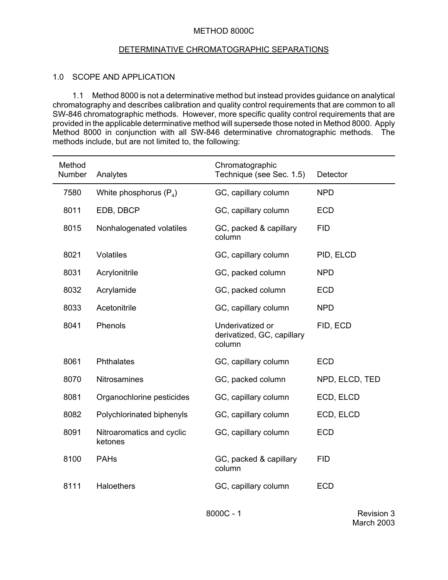## METHOD 8000C

## DETERMINATIVE CHROMATOGRAPHIC SEPARATIONS

## 1.0 SCOPE AND APPLICATION

1.1 Method 8000 is not a determinative method but instead provides guidance on analytical chromatography and describes calibration and quality control requirements that are common to all SW-846 chromatographic methods. However, more specific quality control requirements that are provided in the applicable determinative method will supersede those noted in Method 8000. Apply Method 8000 in conjunction with all SW-846 determinative chromatographic methods. The methods include, but are not limited to, the following:

| Method<br>Number | Analytes                             | Chromatographic<br>Technique (see Sec. 1.5)              | Detector       |
|------------------|--------------------------------------|----------------------------------------------------------|----------------|
| 7580             | White phosphorus $(P_4)$             | GC, capillary column                                     | <b>NPD</b>     |
| 8011             | EDB, DBCP                            | GC, capillary column                                     | <b>ECD</b>     |
| 8015             | Nonhalogenated volatiles             | GC, packed & capillary<br>column                         | <b>FID</b>     |
| 8021             | <b>Volatiles</b>                     | GC, capillary column                                     | PID, ELCD      |
| 8031             | Acrylonitrile                        | GC, packed column                                        | <b>NPD</b>     |
| 8032             | Acrylamide                           | GC, packed column                                        | <b>ECD</b>     |
| 8033             | Acetonitrile                         | GC, capillary column                                     | <b>NPD</b>     |
| 8041             | Phenols                              | Underivatized or<br>derivatized, GC, capillary<br>column | FID, ECD       |
| 8061             | Phthalates                           | GC, capillary column                                     | <b>ECD</b>     |
| 8070             | <b>Nitrosamines</b>                  | GC, packed column                                        | NPD, ELCD, TED |
| 8081             | Organochlorine pesticides            | GC, capillary column                                     | ECD, ELCD      |
| 8082             | Polychlorinated biphenyls            | GC, capillary column                                     | ECD, ELCD      |
| 8091             | Nitroaromatics and cyclic<br>ketones | GC, capillary column                                     | <b>ECD</b>     |
| 8100             | <b>PAHs</b>                          | GC, packed & capillary<br>column                         | <b>FID</b>     |
| 8111             | Haloethers                           | GC, capillary column                                     | <b>ECD</b>     |

8000C - 1 Revision 3 March 2003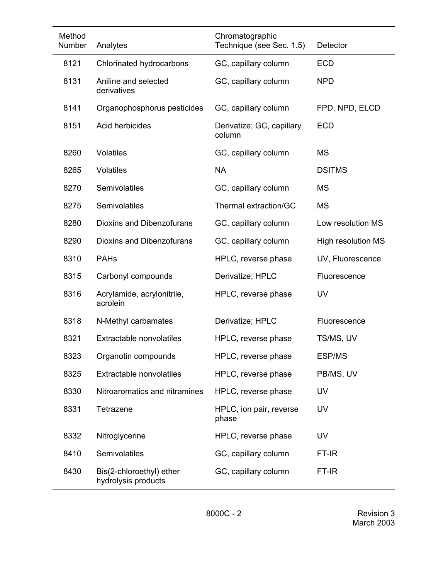| Method<br>Number | Analytes                                        | Chromatographic<br>Technique (see Sec. 1.5) | Detector                  |
|------------------|-------------------------------------------------|---------------------------------------------|---------------------------|
| 8121             | Chlorinated hydrocarbons                        | GC, capillary column                        | <b>ECD</b>                |
| 8131             | Aniline and selected<br>derivatives             | GC, capillary column                        | <b>NPD</b>                |
| 8141             | Organophosphorus pesticides                     | GC, capillary column                        | FPD, NPD, ELCD            |
| 8151             | Acid herbicides                                 | Derivatize; GC, capillary<br>column         | <b>ECD</b>                |
| 8260             | <b>Volatiles</b>                                | GC, capillary column                        | <b>MS</b>                 |
| 8265             | <b>Volatiles</b>                                | <b>NA</b>                                   | <b>DSITMS</b>             |
| 8270             | Semivolatiles                                   | GC, capillary column                        | <b>MS</b>                 |
| 8275             | Semivolatiles                                   | Thermal extraction/GC                       | <b>MS</b>                 |
| 8280             | <b>Dioxins and Dibenzofurans</b>                | GC, capillary column                        | Low resolution MS         |
| 8290             | Dioxins and Dibenzofurans                       | GC, capillary column                        | <b>High resolution MS</b> |
| 8310             | <b>PAHs</b>                                     | HPLC, reverse phase                         | UV, Fluorescence          |
| 8315             | Carbonyl compounds                              | Derivatize; HPLC                            | Fluorescence              |
| 8316             | Acrylamide, acrylonitrile,<br>acrolein          | HPLC, reverse phase                         | UV                        |
| 8318             | N-Methyl carbamates                             | Derivatize; HPLC                            | Fluorescence              |
| 8321             | Extractable nonvolatiles                        | HPLC, reverse phase                         | TS/MS, UV                 |
| 8323             | Organotin compounds                             | HPLC, reverse phase                         | <b>ESP/MS</b>             |
| 8325             | Extractable nonvolatiles                        | HPLC, reverse phase                         | PB/MS, UV                 |
| 8330             | Nitroaromatics and nitramines                   | HPLC, reverse phase                         | UV                        |
| 8331             | Tetrazene                                       | HPLC, ion pair, reverse<br>phase            | <b>UV</b>                 |
| 8332             | Nitroglycerine                                  | HPLC, reverse phase                         | <b>UV</b>                 |
| 8410             | Semivolatiles                                   | GC, capillary column                        | FT-IR                     |
| 8430             | Bis(2-chloroethyl) ether<br>hydrolysis products | GC, capillary column                        | FT-IR                     |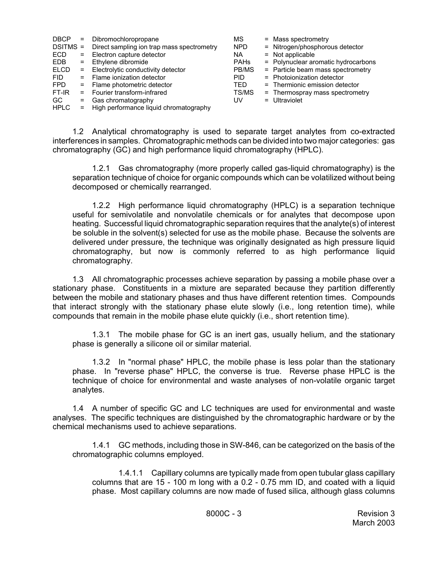| <b>DBCP</b> | $=$ | Dibromochloropropane                       | MS          | $=$ Mass spectrometry               |
|-------------|-----|--------------------------------------------|-------------|-------------------------------------|
| $DSITMS =$  |     | Direct sampling ion trap mass spectrometry | <b>NPD</b>  | = Nitrogen/phosphorous detector     |
| ECD         | $=$ | Electron capture detector                  | NA.         | $=$ Not applicable                  |
| <b>EDB</b>  |     | $=$ Ethylene dibromide                     | <b>PAHs</b> | = Polynuclear aromatic hydrocarbons |
| <b>ELCD</b> |     | = Electrolytic conductivity detector       | PB/MS       | = Particle beam mass spectrometry   |
| <b>FID</b>  |     | $=$ Flame ionization detector              | <b>PID</b>  | $=$ Photoionization detector        |
| <b>FPD</b>  |     | = Flame photometric detector               | TFD         | = Thermionic emission detector      |
| FT-IR       |     | = Fourier transform-infrared               | TS/MS       | = Thermospray mass spectrometry     |
| GC.         | $=$ | Gas chromatography                         | UV          | = Ultraviolet                       |
| <b>HPLC</b> |     | = High performance liquid chromatography   |             |                                     |

1.2 Analytical chromatography is used to separate target analytes from co-extracted interferences in samples. Chromatographic methods can be divided into two major categories: gas chromatography (GC) and high performance liquid chromatography (HPLC).

1.2.1 Gas chromatography (more properly called gas-liquid chromatography) is the separation technique of choice for organic compounds which can be volatilized without being decomposed or chemically rearranged.

1.2.2 High performance liquid chromatography (HPLC) is a separation technique useful for semivolatile and nonvolatile chemicals or for analytes that decompose upon heating. Successful liquid chromatographic separation requires that the analyte(s) of interest be soluble in the solvent(s) selected for use as the mobile phase. Because the solvents are delivered under pressure, the technique was originally designated as high pressure liquid chromatography, but now is commonly referred to as high performance liquid chromatography.

1.3 All chromatographic processes achieve separation by passing a mobile phase over a stationary phase. Constituents in a mixture are separated because they partition differently between the mobile and stationary phases and thus have different retention times. Compounds that interact strongly with the stationary phase elute slowly (i.e., long retention time), while compounds that remain in the mobile phase elute quickly (i.e., short retention time).

1.3.1 The mobile phase for GC is an inert gas, usually helium, and the stationary phase is generally a silicone oil or similar material.

1.3.2 In "normal phase" HPLC, the mobile phase is less polar than the stationary phase. In "reverse phase" HPLC, the converse is true. Reverse phase HPLC is the technique of choice for environmental and waste analyses of non-volatile organic target analytes.

1.4 A number of specific GC and LC techniques are used for environmental and waste analyses. The specific techniques are distinguished by the chromatographic hardware or by the chemical mechanisms used to achieve separations.

1.4.1 GC methods, including those in SW-846, can be categorized on the basis of the chromatographic columns employed.

1.4.1.1 Capillary columns are typically made from open tubular glass capillary columns that are 15 - 100 m long with a 0.2 - 0.75 mm ID, and coated with a liquid phase. Most capillary columns are now made of fused silica, although glass columns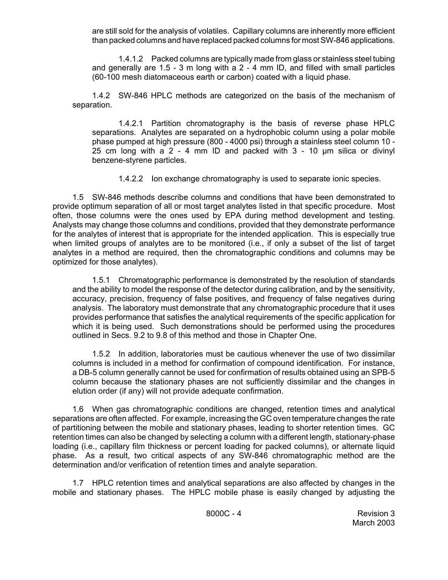are still sold for the analysis of volatiles. Capillary columns are inherently more efficient than packed columns and have replaced packed columns for most SW-846 applications.

1.4.1.2 Packed columns are typically made from glass or stainless steel tubing and generally are 1.5 - 3 m long with a 2 - 4 mm ID, and filled with small particles (60-100 mesh diatomaceous earth or carbon) coated with a liquid phase.

1.4.2 SW-846 HPLC methods are categorized on the basis of the mechanism of separation.

1.4.2.1 Partition chromatography is the basis of reverse phase HPLC separations. Analytes are separated on a hydrophobic column using a polar mobile phase pumped at high pressure (800 - 4000 psi) through a stainless steel column 10 - 25 cm long with a  $2 - 4$  mm ID and packed with  $3 - 10$  µm silica or divinyl benzene-styrene particles.

1.4.2.2 Ion exchange chromatography is used to separate ionic species.

1.5 SW-846 methods describe columns and conditions that have been demonstrated to provide optimum separation of all or most target analytes listed in that specific procedure. Most often, those columns were the ones used by EPA during method development and testing. Analysts may change those columns and conditions, provided that they demonstrate performance for the analytes of interest that is appropriate for the intended application. This is especially true when limited groups of analytes are to be monitored (i.e., if only a subset of the list of target analytes in a method are required, then the chromatographic conditions and columns may be optimized for those analytes).

1.5.1 Chromatographic performance is demonstrated by the resolution of standards and the ability to model the response of the detector during calibration, and by the sensitivity, accuracy, precision, frequency of false positives, and frequency of false negatives during analysis. The laboratory must demonstrate that any chromatographic procedure that it uses provides performance that satisfies the analytical requirements of the specific application for which it is being used. Such demonstrations should be performed using the procedures outlined in Secs. 9.2 to 9.8 of this method and those in Chapter One.

1.5.2 In addition, laboratories must be cautious whenever the use of two dissimilar columns is included in a method for confirmation of compound identification. For instance, a DB-5 column generally cannot be used for confirmation of results obtained using an SPB-5 column because the stationary phases are not sufficiently dissimilar and the changes in elution order (if any) will not provide adequate confirmation.

1.6 When gas chromatographic conditions are changed, retention times and analytical separations are often affected. For example, increasing the GC oven temperature changes the rate of partitioning between the mobile and stationary phases, leading to shorter retention times. GC retention times can also be changed by selecting a column with a different length, stationary-phase loading (i.e., capillary film thickness or percent loading for packed columns), or alternate liquid phase. As a result, two critical aspects of any SW-846 chromatographic method are the determination and/or verification of retention times and analyte separation.

1.7 HPLC retention times and analytical separations are also affected by changes in the mobile and stationary phases. The HPLC mobile phase is easily changed by adjusting the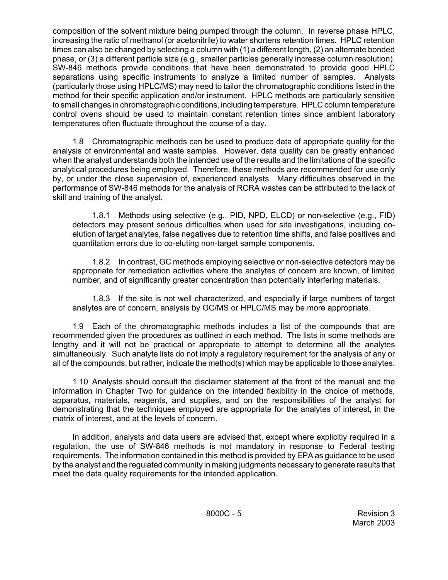composition of the solvent mixture being pumped through the column. In reverse phase HPLC, increasing the ratio of methanol (or acetonitrile) to water shortens retention times. HPLC retention times can also be changed by selecting a column with (1) a different length, (2) an alternate bonded phase, or (3) a different particle size (e.g., smaller particles generally increase column resolution). SW-846 methods provide conditions that have been demonstrated to provide good HPLC separations using specific instruments to analyze a limited number of samples. Analysts (particularly those using HPLC/MS) may need to tailor the chromatographic conditions listed in the method for their specific application and/or instrument. HPLC methods are particularly sensitive to small changes in chromatographic conditions, including temperature. HPLC column temperature control ovens should be used to maintain constant retention times since ambient laboratory temperatures often fluctuate throughout the course of a day.

1.8 Chromatographic methods can be used to produce data of appropriate quality for the analysis of environmental and waste samples. However, data quality can be greatly enhanced when the analyst understands both the intended use of the results and the limitations of the specific analytical procedures being employed. Therefore, these methods are recommended for use only by, or under the close supervision of, experienced analysts. Many difficulties observed in the performance of SW-846 methods for the analysis of RCRA wastes can be attributed to the lack of skill and training of the analyst.

1.8.1 Methods using selective (e.g., PID, NPD, ELCD) or non-selective (e.g., FID) detectors may present serious difficulties when used for site investigations, including coelution of target analytes, false negatives due to retention time shifts, and false positives and quantitation errors due to co-eluting non-target sample components.

1.8.2 In contrast, GC methods employing selective or non-selective detectors may be appropriate for remediation activities where the analytes of concern are known, of limited number, and of significantly greater concentration than potentially interfering materials.

1.8.3 If the site is not well characterized, and especially if large numbers of target analytes are of concern, analysis by GC/MS or HPLC/MS may be more appropriate.

1.9 Each of the chromatographic methods includes a list of the compounds that are recommended given the procedures as outlined in each method. The lists in some methods are lengthy and it will not be practical or appropriate to attempt to determine all the analytes simultaneously. Such analyte lists do not imply a regulatory requirement for the analysis of any or all of the compounds, but rather, indicate the method(s) which may be applicable to those analytes.

1.10 Analysts should consult the disclaimer statement at the front of the manual and the information in Chapter Two for guidance on the intended flexibility in the choice of methods, apparatus, materials, reagents, and supplies, and on the responsibilities of the analyst for demonstrating that the techniques employed are appropriate for the analytes of interest, in the matrix of interest, and at the levels of concern.

In addition, analysts and data users are advised that, except where explicitly required in a regulation, the use of SW-846 methods is not mandatory in response to Federal testing requirements. The information contained in this method is provided by EPA as guidance to be used by the analyst and the regulated community in making judgments necessary to generate results that meet the data quality requirements for the intended application.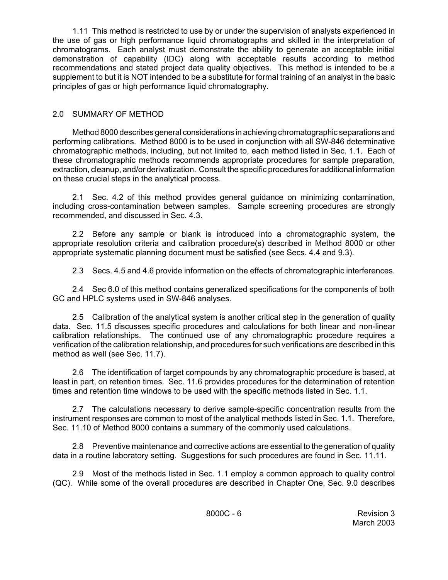1.11 This method is restricted to use by or under the supervision of analysts experienced in the use of gas or high performance liquid chromatographs and skilled in the interpretation of chromatograms. Each analyst must demonstrate the ability to generate an acceptable initial demonstration of capability (IDC) along with acceptable results according to method recommendations and stated project data quality objectives. This method is intended to be a supplement to but it is NOT intended to be a substitute for formal training of an analyst in the basic principles of gas or high performance liquid chromatography.

# 2.0 SUMMARY OF METHOD

Method 8000 describes general considerations in achieving chromatographic separations and performing calibrations. Method 8000 is to be used in conjunction with all SW-846 determinative chromatographic methods, including, but not limited to, each method listed in Sec. 1.1. Each of these chromatographic methods recommends appropriate procedures for sample preparation, extraction, cleanup, and/or derivatization. Consult the specific procedures for additional information on these crucial steps in the analytical process.

2.1 Sec. 4.2 of this method provides general guidance on minimizing contamination, including cross-contamination between samples. Sample screening procedures are strongly recommended, and discussed in Sec. 4.3.

2.2 Before any sample or blank is introduced into a chromatographic system, the appropriate resolution criteria and calibration procedure(s) described in Method 8000 or other appropriate systematic planning document must be satisfied (see Secs. 4.4 and 9.3).

2.3 Secs. 4.5 and 4.6 provide information on the effects of chromatographic interferences.

2.4 Sec 6.0 of this method contains generalized specifications for the components of both GC and HPLC systems used in SW-846 analyses.

2.5 Calibration of the analytical system is another critical step in the generation of quality data. Sec. 11.5 discusses specific procedures and calculations for both linear and non-linear calibration relationships. The continued use of any chromatographic procedure requires a verification of the calibration relationship, and procedures for such verifications are described in this method as well (see Sec. 11.7).

2.6 The identification of target compounds by any chromatographic procedure is based, at least in part, on retention times. Sec. 11.6 provides procedures for the determination of retention times and retention time windows to be used with the specific methods listed in Sec. 1.1.

2.7 The calculations necessary to derive sample-specific concentration results from the instrument responses are common to most of the analytical methods listed in Sec. 1.1. Therefore, Sec. 11.10 of Method 8000 contains a summary of the commonly used calculations.

2.8 Preventive maintenance and corrective actions are essential to the generation of quality data in a routine laboratory setting. Suggestions for such procedures are found in Sec. 11.11.

2.9 Most of the methods listed in Sec. 1.1 employ a common approach to quality control (QC). While some of the overall procedures are described in Chapter One, Sec. 9.0 describes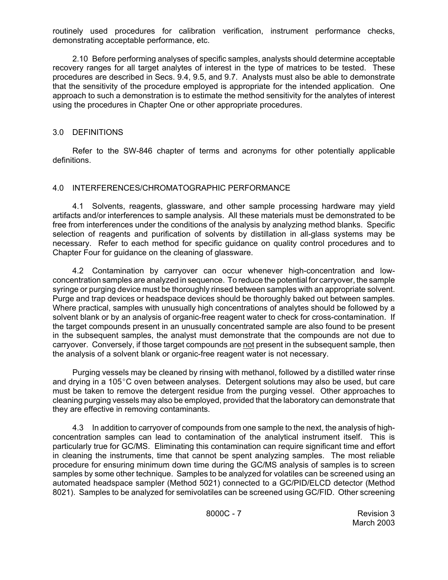routinely used procedures for calibration verification, instrument performance checks, demonstrating acceptable performance, etc.

2.10 Before performing analyses of specific samples, analysts should determine acceptable recovery ranges for all target analytes of interest in the type of matrices to be tested. These procedures are described in Secs. 9.4, 9.5, and 9.7. Analysts must also be able to demonstrate that the sensitivity of the procedure employed is appropriate for the intended application. One approach to such a demonstration is to estimate the method sensitivity for the analytes of interest using the procedures in Chapter One or other appropriate procedures.

# 3.0 DEFINITIONS

Refer to the SW-846 chapter of terms and acronyms for other potentially applicable definitions.

## 4.0 INTERFERENCES/CHROMATOGRAPHIC PERFORMANCE

4.1 Solvents, reagents, glassware, and other sample processing hardware may yield artifacts and/or interferences to sample analysis. All these materials must be demonstrated to be free from interferences under the conditions of the analysis by analyzing method blanks. Specific selection of reagents and purification of solvents by distillation in all-glass systems may be necessary. Refer to each method for specific guidance on quality control procedures and to Chapter Four for guidance on the cleaning of glassware.

4.2 Contamination by carryover can occur whenever high-concentration and lowconcentration samples are analyzed in sequence. To reduce the potential for carryover, the sample syringe or purging device must be thoroughly rinsed between samples with an appropriate solvent. Purge and trap devices or headspace devices should be thoroughly baked out between samples. Where practical, samples with unusually high concentrations of analytes should be followed by a solvent blank or by an analysis of organic-free reagent water to check for cross-contamination. If the target compounds present in an unusually concentrated sample are also found to be present in the subsequent samples, the analyst must demonstrate that the compounds are not due to carryover. Conversely, if those target compounds are not present in the subsequent sample, then the analysis of a solvent blank or organic-free reagent water is not necessary.

Purging vessels may be cleaned by rinsing with methanol, followed by a distilled water rinse and drying in a 105 $^{\circ}$ C oven between analyses. Detergent solutions may also be used, but care must be taken to remove the detergent residue from the purging vessel. Other approaches to cleaning purging vessels may also be employed, provided that the laboratory can demonstrate that they are effective in removing contaminants.

4.3 In addition to carryover of compounds from one sample to the next, the analysis of highconcentration samples can lead to contamination of the analytical instrument itself. This is particularly true for GC/MS. Eliminating this contamination can require significant time and effort in cleaning the instruments, time that cannot be spent analyzing samples. The most reliable procedure for ensuring minimum down time during the GC/MS analysis of samples is to screen samples by some other technique. Samples to be analyzed for volatiles can be screened using an automated headspace sampler (Method 5021) connected to a GC/PID/ELCD detector (Method 8021). Samples to be analyzed for semivolatiles can be screened using GC/FID. Other screening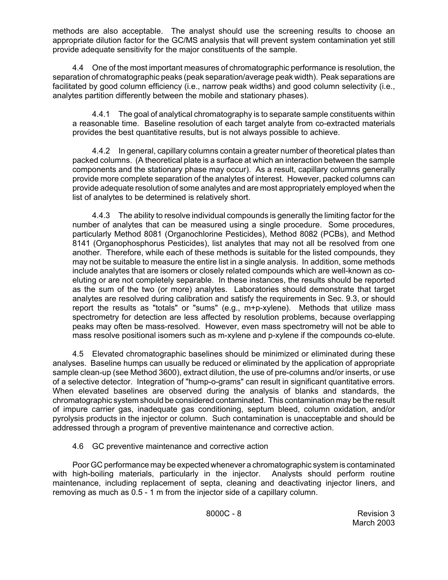methods are also acceptable. The analyst should use the screening results to choose an appropriate dilution factor for the GC/MS analysis that will prevent system contamination yet still provide adequate sensitivity for the major constituents of the sample.

4.4 One of the most important measures of chromatographic performance is resolution, the separation of chromatographic peaks (peak separation/average peak width). Peak separations are facilitated by good column efficiency (i.e., narrow peak widths) and good column selectivity (i.e., analytes partition differently between the mobile and stationary phases).

4.4.1 The goal of analytical chromatography is to separate sample constituents within a reasonable time. Baseline resolution of each target analyte from co-extracted materials provides the best quantitative results, but is not always possible to achieve.

4.4.2 In general, capillary columns contain a greater number of theoretical plates than packed columns. (A theoretical plate is a surface at which an interaction between the sample components and the stationary phase may occur). As a result, capillary columns generally provide more complete separation of the analytes of interest. However, packed columns can provide adequate resolution of some analytes and are most appropriately employed when the list of analytes to be determined is relatively short.

4.4.3 The ability to resolve individual compounds is generally the limiting factor for the number of analytes that can be measured using a single procedure. Some procedures, particularly Method 8081 (Organochlorine Pesticides), Method 8082 (PCBs), and Method 8141 (Organophosphorus Pesticides), list analytes that may not all be resolved from one another. Therefore, while each of these methods is suitable for the listed compounds, they may not be suitable to measure the entire list in a single analysis. In addition, some methods include analytes that are isomers or closely related compounds which are well-known as coeluting or are not completely separable. In these instances, the results should be reported as the sum of the two (or more) analytes. Laboratories should demonstrate that target analytes are resolved during calibration and satisfy the requirements in Sec. 9.3, or should report the results as "totals" or "sums" (e.g.,  $m+p$ -xylene). Methods that utilize mass spectrometry for detection are less affected by resolution problems, because overlapping peaks may often be mass-resolved. However, even mass spectrometry will not be able to mass resolve positional isomers such as m-xylene and p-xylene if the compounds co-elute.

4.5 Elevated chromatographic baselines should be minimized or eliminated during these analyses. Baseline humps can usually be reduced or eliminated by the application of appropriate sample clean-up (see Method 3600), extract dilution, the use of pre-columns and/or inserts, or use of a selective detector. Integration of "hump-o-grams" can result in significant quantitative errors. When elevated baselines are observed during the analysis of blanks and standards, the chromatographic system should be considered contaminated. This contamination may be the result of impure carrier gas, inadequate gas conditioning, septum bleed, column oxidation, and/or pyrolysis products in the injector or column. Such contamination is unacceptable and should be addressed through a program of preventive maintenance and corrective action.

4.6 GC preventive maintenance and corrective action

Poor GC performance may be expected whenever a chromatographic system is contaminated with high-boiling materials, particularly in the injector. Analysts should perform routine maintenance, including replacement of septa, cleaning and deactivating injector liners, and removing as much as 0.5 - 1 m from the injector side of a capillary column.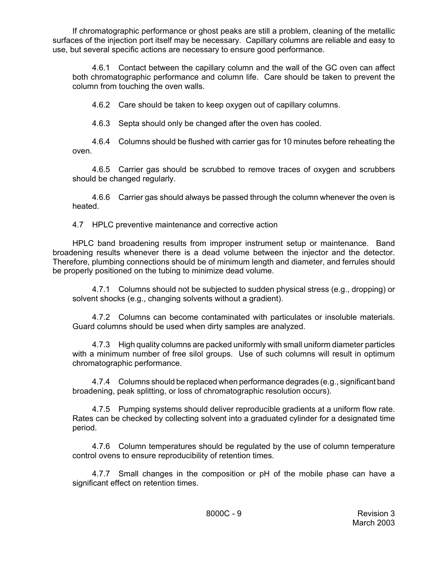If chromatographic performance or ghost peaks are still a problem, cleaning of the metallic surfaces of the injection port itself may be necessary. Capillary columns are reliable and easy to use, but several specific actions are necessary to ensure good performance.

4.6.1 Contact between the capillary column and the wall of the GC oven can affect both chromatographic performance and column life. Care should be taken to prevent the column from touching the oven walls.

4.6.2 Care should be taken to keep oxygen out of capillary columns.

4.6.3 Septa should only be changed after the oven has cooled.

4.6.4 Columns should be flushed with carrier gas for 10 minutes before reheating the oven.

4.6.5 Carrier gas should be scrubbed to remove traces of oxygen and scrubbers should be changed regularly.

4.6.6 Carrier gas should always be passed through the column whenever the oven is heated.

4.7 HPLC preventive maintenance and corrective action

HPLC band broadening results from improper instrument setup or maintenance. Band broadening results whenever there is a dead volume between the injector and the detector. Therefore, plumbing connections should be of minimum length and diameter, and ferrules should be properly positioned on the tubing to minimize dead volume.

4.7.1 Columns should not be subjected to sudden physical stress (e.g., dropping) or solvent shocks (e.g., changing solvents without a gradient).

4.7.2 Columns can become contaminated with particulates or insoluble materials. Guard columns should be used when dirty samples are analyzed.

4.7.3 High quality columns are packed uniformly with small uniform diameter particles with a minimum number of free silol groups. Use of such columns will result in optimum chromatographic performance.

4.7.4 Columns should be replaced when performance degrades (e.g., significant band broadening, peak splitting, or loss of chromatographic resolution occurs).

4.7.5 Pumping systems should deliver reproducible gradients at a uniform flow rate. Rates can be checked by collecting solvent into a graduated cylinder for a designated time period.

4.7.6 Column temperatures should be regulated by the use of column temperature control ovens to ensure reproducibility of retention times.

4.7.7 Small changes in the composition or pH of the mobile phase can have a significant effect on retention times.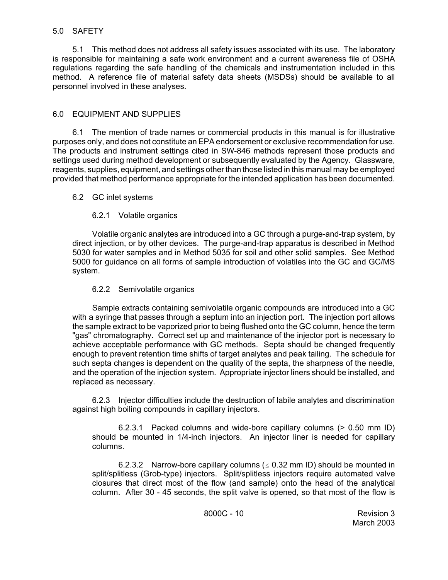## 5.0 SAFETY

5.1 This method does not address all safety issues associated with its use. The laboratory is responsible for maintaining a safe work environment and a current awareness file of OSHA regulations regarding the safe handling of the chemicals and instrumentation included in this method. A reference file of material safety data sheets (MSDSs) should be available to all personnel involved in these analyses.

# 6.0 EQUIPMENT AND SUPPLIES

6.1 The mention of trade names or commercial products in this manual is for illustrative purposes only, and does not constitute an EPA endorsement or exclusive recommendation for use. The products and instrument settings cited in SW-846 methods represent those products and settings used during method development or subsequently evaluated by the Agency. Glassware, reagents, supplies, equipment, and settings other than those listed in this manual may be employed provided that method performance appropriate for the intended application has been documented.

## 6.2 GC inlet systems

# 6.2.1 Volatile organics

Volatile organic analytes are introduced into a GC through a purge-and-trap system, by direct injection, or by other devices. The purge-and-trap apparatus is described in Method 5030 for water samples and in Method 5035 for soil and other solid samples. See Method 5000 for guidance on all forms of sample introduction of volatiles into the GC and GC/MS system.

## 6.2.2 Semivolatile organics

Sample extracts containing semivolatile organic compounds are introduced into a GC with a syringe that passes through a septum into an injection port. The injection port allows the sample extract to be vaporized prior to being flushed onto the GC column, hence the term "gas" chromatography. Correct set up and maintenance of the injector port is necessary to achieve acceptable performance with GC methods. Septa should be changed frequently enough to prevent retention time shifts of target analytes and peak tailing. The schedule for such septa changes is dependent on the quality of the septa, the sharpness of the needle, and the operation of the injection system. Appropriate injector liners should be installed, and replaced as necessary.

6.2.3 Injector difficulties include the destruction of labile analytes and discrimination against high boiling compounds in capillary injectors.

6.2.3.1 Packed columns and wide-bore capillary columns (> 0.50 mm ID) should be mounted in 1/4-inch injectors. An injector liner is needed for capillary columns.

6.2.3.2 Narrow-bore capillary columns ( $\leq$  0.32 mm ID) should be mounted in split/splitless (Grob-type) injectors. Split/splitless injectors require automated valve closures that direct most of the flow (and sample) onto the head of the analytical column. After 30 - 45 seconds, the split valve is opened, so that most of the flow is

8000C - 10 Revision 3 March 2003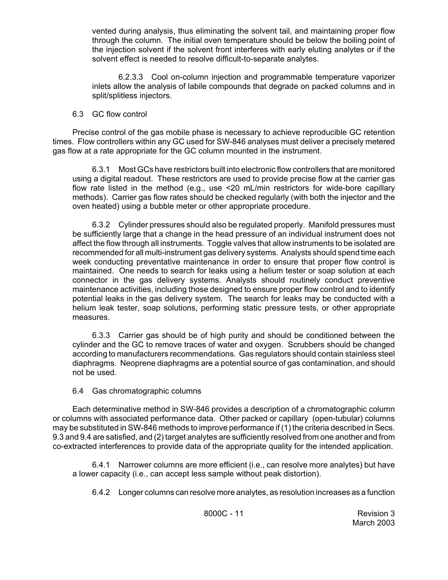vented during analysis, thus eliminating the solvent tail, and maintaining proper flow through the column. The initial oven temperature should be below the boiling point of the injection solvent if the solvent front interferes with early eluting analytes or if the solvent effect is needed to resolve difficult-to-separate analytes.

6.2.3.3 Cool on-column injection and programmable temperature vaporizer inlets allow the analysis of labile compounds that degrade on packed columns and in split/splitless injectors.

## 6.3 GC flow control

Precise control of the gas mobile phase is necessary to achieve reproducible GC retention times. Flow controllers within any GC used for SW-846 analyses must deliver a precisely metered gas flow at a rate appropriate for the GC column mounted in the instrument.

6.3.1 Most GCs have restrictors built into electronic flow controllers that are monitored using a digital readout. These restrictors are used to provide precise flow at the carrier gas flow rate listed in the method (e.g., use <20 mL/min restrictors for wide-bore capillary methods). Carrier gas flow rates should be checked regularly (with both the injector and the oven heated) using a bubble meter or other appropriate procedure.

6.3.2 Cylinder pressures should also be regulated properly. Manifold pressures must be sufficiently large that a change in the head pressure of an individual instrument does not affect the flow through all instruments. Toggle valves that allow instruments to be isolated are recommended for all multi-instrument gas delivery systems. Analysts should spend time each week conducting preventative maintenance in order to ensure that proper flow control is maintained. One needs to search for leaks using a helium tester or soap solution at each connector in the gas delivery systems. Analysts should routinely conduct preventive maintenance activities, including those designed to ensure proper flow control and to identify potential leaks in the gas delivery system. The search for leaks may be conducted with a helium leak tester, soap solutions, performing static pressure tests, or other appropriate measures.

6.3.3 Carrier gas should be of high purity and should be conditioned between the cylinder and the GC to remove traces of water and oxygen. Scrubbers should be changed according to manufacturers recommendations. Gas regulators should contain stainless steel diaphragms. Neoprene diaphragms are a potential source of gas contamination, and should not be used.

6.4 Gas chromatographic columns

Each determinative method in SW-846 provides a description of a chromatographic column or columns with associated performance data. Other packed or capillary (open-tubular) columns may be substituted in SW-846 methods to improve performance if (1) the criteria described in Secs. 9.3 and 9.4 are satisfied, and (2) target analytes are sufficiently resolved from one another and from co-extracted interferences to provide data of the appropriate quality for the intended application.

6.4.1 Narrower columns are more efficient (i.e., can resolve more analytes) but have a lower capacity (i.e., can accept less sample without peak distortion).

6.4.2 Longer columns can resolve more analytes, as resolution increases as a function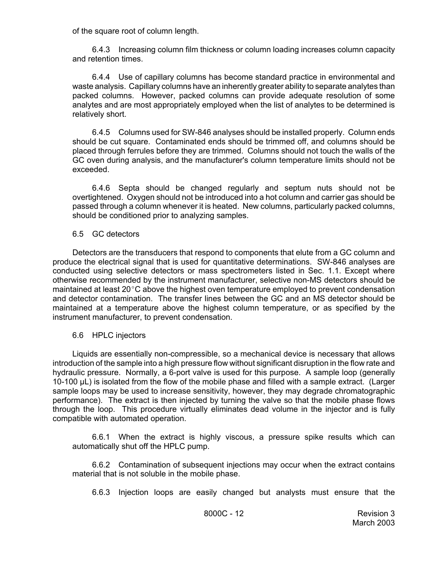of the square root of column length.

6.4.3 Increasing column film thickness or column loading increases column capacity and retention times.

6.4.4 Use of capillary columns has become standard practice in environmental and waste analysis. Capillary columns have an inherently greater ability to separate analytes than packed columns. However, packed columns can provide adequate resolution of some analytes and are most appropriately employed when the list of analytes to be determined is relatively short.

6.4.5 Columns used for SW-846 analyses should be installed properly. Column ends should be cut square. Contaminated ends should be trimmed off, and columns should be placed through ferrules before they are trimmed. Columns should not touch the walls of the GC oven during analysis, and the manufacturer's column temperature limits should not be exceeded.

6.4.6 Septa should be changed regularly and septum nuts should not be overtightened. Oxygen should not be introduced into a hot column and carrier gas should be passed through a column whenever it is heated. New columns, particularly packed columns, should be conditioned prior to analyzing samples.

## 6.5 GC detectors

Detectors are the transducers that respond to components that elute from a GC column and produce the electrical signal that is used for quantitative determinations. SW-846 analyses are conducted using selective detectors or mass spectrometers listed in Sec. 1.1. Except where otherwise recommended by the instrument manufacturer, selective non-MS detectors should be maintained at least  $20^{\circ}$ C above the highest oven temperature employed to prevent condensation and detector contamination. The transfer lines between the GC and an MS detector should be maintained at a temperature above the highest column temperature, or as specified by the instrument manufacturer, to prevent condensation.

#### 6.6 HPLC injectors

Liquids are essentially non-compressible, so a mechanical device is necessary that allows introduction of the sample into a high pressure flow without significant disruption in the flow rate and hydraulic pressure. Normally, a 6-port valve is used for this purpose. A sample loop (generally 10-100 µL) is isolated from the flow of the mobile phase and filled with a sample extract. (Larger sample loops may be used to increase sensitivity, however, they may degrade chromatographic performance). The extract is then injected by turning the valve so that the mobile phase flows through the loop. This procedure virtually eliminates dead volume in the injector and is fully compatible with automated operation.

6.6.1 When the extract is highly viscous, a pressure spike results which can automatically shut off the HPLC pump.

6.6.2 Contamination of subsequent injections may occur when the extract contains material that is not soluble in the mobile phase.

6.6.3 Injection loops are easily changed but analysts must ensure that the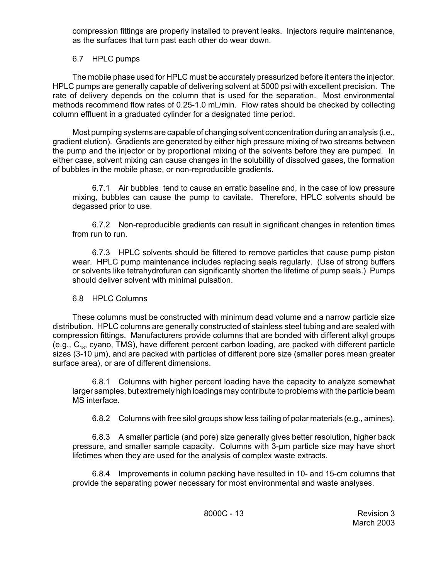compression fittings are properly installed to prevent leaks. Injectors require maintenance, as the surfaces that turn past each other do wear down.

# 6.7 HPLC pumps

The mobile phase used for HPLC must be accurately pressurized before it enters the injector. HPLC pumps are generally capable of delivering solvent at 5000 psi with excellent precision. The rate of delivery depends on the column that is used for the separation. Most environmental methods recommend flow rates of 0.25-1.0 mL/min. Flow rates should be checked by collecting column effluent in a graduated cylinder for a designated time period.

Most pumping systems are capable of changing solvent concentration during an analysis (i.e., gradient elution). Gradients are generated by either high pressure mixing of two streams between the pump and the injector or by proportional mixing of the solvents before they are pumped. In either case, solvent mixing can cause changes in the solubility of dissolved gases, the formation of bubbles in the mobile phase, or non-reproducible gradients.

6.7.1 Air bubbles tend to cause an erratic baseline and, in the case of low pressure mixing, bubbles can cause the pump to cavitate. Therefore, HPLC solvents should be degassed prior to use.

6.7.2 Non-reproducible gradients can result in significant changes in retention times from run to run.

6.7.3 HPLC solvents should be filtered to remove particles that cause pump piston wear. HPLC pump maintenance includes replacing seals regularly. (Use of strong buffers or solvents like tetrahydrofuran can significantly shorten the lifetime of pump seals.) Pumps should deliver solvent with minimal pulsation.

# 6.8 HPLC Columns

These columns must be constructed with minimum dead volume and a narrow particle size distribution. HPLC columns are generally constructed of stainless steel tubing and are sealed with compression fittings. Manufacturers provide columns that are bonded with different alkyl groups (e.g.,  $C_{18}$ , cyano, TMS), have different percent carbon loading, are packed with different particle sizes (3-10 µm), and are packed with particles of different pore size (smaller pores mean greater surface area), or are of different dimensions.

6.8.1 Columns with higher percent loading have the capacity to analyze somewhat larger samples, but extremely high loadings may contribute to problems with the particle beam MS interface.

6.8.2 Columns with free silol groups show less tailing of polar materials (e.g., amines).

6.8.3 A smaller particle (and pore) size generally gives better resolution, higher back pressure, and smaller sample capacity. Columns with 3-µm particle size may have short lifetimes when they are used for the analysis of complex waste extracts.

6.8.4 Improvements in column packing have resulted in 10- and 15-cm columns that provide the separating power necessary for most environmental and waste analyses.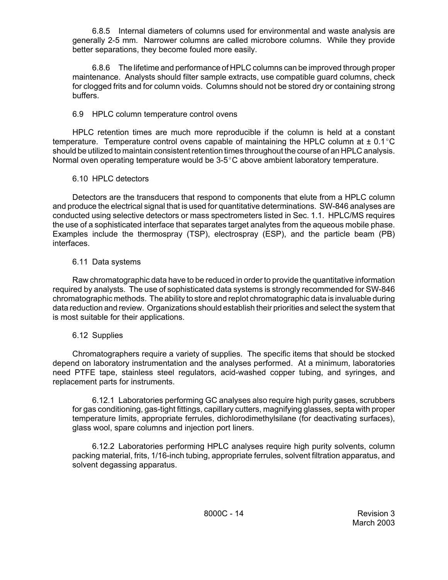6.8.5 Internal diameters of columns used for environmental and waste analysis are generally 2-5 mm. Narrower columns are called microbore columns. While they provide better separations, they become fouled more easily.

6.8.6 The lifetime and performance of HPLC columns can be improved through proper maintenance. Analysts should filter sample extracts, use compatible guard columns, check for clogged frits and for column voids. Columns should not be stored dry or containing strong buffers.

# 6.9 HPLC column temperature control ovens

HPLC retention times are much more reproducible if the column is held at a constant temperature. Temperature control ovens capable of maintaining the HPLC column at  $\pm$  0.1 $^{\circ}$ C should be utilized to maintain consistent retention times throughout the course of an HPLC analysis. Normal oven operating temperature would be  $3-5^{\circ}$ C above ambient laboratory temperature.

# 6.10 HPLC detectors

Detectors are the transducers that respond to components that elute from a HPLC column and produce the electrical signal that is used for quantitative determinations. SW-846 analyses are conducted using selective detectors or mass spectrometers listed in Sec. 1.1. HPLC/MS requires the use of a sophisticated interface that separates target analytes from the aqueous mobile phase. Examples include the thermospray (TSP), electrospray (ESP), and the particle beam (PB) interfaces.

# 6.11 Data systems

Raw chromatographic data have to be reduced in order to provide the quantitative information required by analysts. The use of sophisticated data systems is strongly recommended for SW-846 chromatographic methods. The ability to store and replot chromatographic data is invaluable during data reduction and review. Organizations should establish their priorities and select the system that is most suitable for their applications.

# 6.12 Supplies

Chromatographers require a variety of supplies. The specific items that should be stocked depend on laboratory instrumentation and the analyses performed. At a minimum, laboratories need PTFE tape, stainless steel regulators, acid-washed copper tubing, and syringes, and replacement parts for instruments.

6.12.1 Laboratories performing GC analyses also require high purity gases, scrubbers for gas conditioning, gas-tight fittings, capillary cutters, magnifying glasses, septa with proper temperature limits, appropriate ferrules, dichlorodimethylsilane (for deactivating surfaces), glass wool, spare columns and injection port liners.

6.12.2 Laboratories performing HPLC analyses require high purity solvents, column packing material, frits, 1/16-inch tubing, appropriate ferrules, solvent filtration apparatus, and solvent degassing apparatus.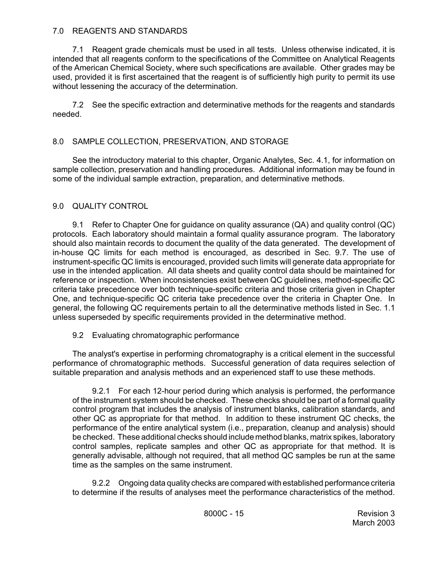# 7.0 REAGENTS AND STANDARDS

7.1 Reagent grade chemicals must be used in all tests. Unless otherwise indicated, it is intended that all reagents conform to the specifications of the Committee on Analytical Reagents of the American Chemical Society, where such specifications are available. Other grades may be used, provided it is first ascertained that the reagent is of sufficiently high purity to permit its use without lessening the accuracy of the determination.

7.2 See the specific extraction and determinative methods for the reagents and standards needed.

# 8.0 SAMPLE COLLECTION, PRESERVATION, AND STORAGE

See the introductory material to this chapter, Organic Analytes, Sec. 4.1, for information on sample collection, preservation and handling procedures. Additional information may be found in some of the individual sample extraction, preparation, and determinative methods.

# 9.0 QUALITY CONTROL

9.1 Refer to Chapter One for guidance on quality assurance (QA) and quality control (QC) protocols. Each laboratory should maintain a formal quality assurance program. The laboratory should also maintain records to document the quality of the data generated. The development of in-house QC limits for each method is encouraged, as described in Sec. 9.7. The use of instrument-specific QC limits is encouraged, provided such limits will generate data appropriate for use in the intended application. All data sheets and quality control data should be maintained for reference or inspection. When inconsistencies exist between QC guidelines, method-specific QC criteria take precedence over both technique-specific criteria and those criteria given in Chapter One, and technique-specific QC criteria take precedence over the criteria in Chapter One. In general, the following QC requirements pertain to all the determinative methods listed in Sec. 1.1 unless superseded by specific requirements provided in the determinative method.

# 9.2 Evaluating chromatographic performance

The analyst's expertise in performing chromatography is a critical element in the successful performance of chromatographic methods. Successful generation of data requires selection of suitable preparation and analysis methods and an experienced staff to use these methods.

9.2.1 For each 12-hour period during which analysis is performed, the performance of the instrument system should be checked. These checks should be part of a formal quality control program that includes the analysis of instrument blanks, calibration standards, and other QC as appropriate for that method. In addition to these instrument QC checks, the performance of the entire analytical system (i.e., preparation, cleanup and analysis) should be checked. These additional checks should include method blanks, matrix spikes, laboratory control samples, replicate samples and other QC as appropriate for that method. It is generally advisable, although not required, that all method QC samples be run at the same time as the samples on the same instrument.

9.2.2 Ongoing data quality checks are compared with established performance criteria to determine if the results of analyses meet the performance characteristics of the method.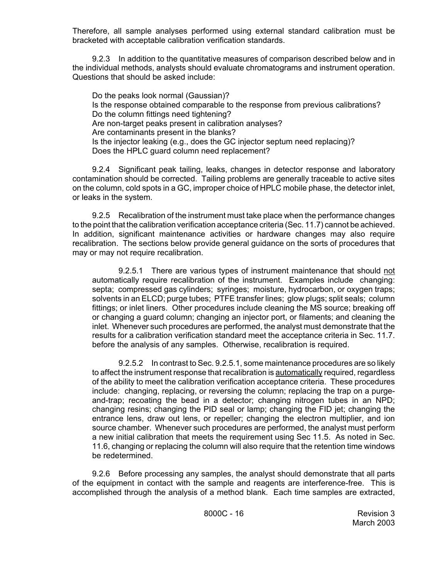Therefore, all sample analyses performed using external standard calibration must be bracketed with acceptable calibration verification standards.

9.2.3 In addition to the quantitative measures of comparison described below and in the individual methods, analysts should evaluate chromatograms and instrument operation. Questions that should be asked include:

Do the peaks look normal (Gaussian)? Is the response obtained comparable to the response from previous calibrations? Do the column fittings need tightening? Are non-target peaks present in calibration analyses? Are contaminants present in the blanks? Is the injector leaking (e.g., does the GC injector septum need replacing)? Does the HPLC guard column need replacement?

9.2.4 Significant peak tailing, leaks, changes in detector response and laboratory contamination should be corrected. Tailing problems are generally traceable to active sites on the column, cold spots in a GC, improper choice of HPLC mobile phase, the detector inlet, or leaks in the system.

9.2.5 Recalibration of the instrument must take place when the performance changes to the point that the calibration verification acceptance criteria (Sec. 11.7) cannot be achieved. In addition, significant maintenance activities or hardware changes may also require recalibration. The sections below provide general guidance on the sorts of procedures that may or may not require recalibration.

9.2.5.1 There are various types of instrument maintenance that should not automatically require recalibration of the instrument. Examples include changing: septa; compressed gas cylinders; syringes; moisture, hydrocarbon, or oxygen traps; solvents in an ELCD; purge tubes; PTFE transfer lines; glow plugs; split seals; column fittings; or inlet liners. Other procedures include cleaning the MS source; breaking off or changing a guard column; changing an injector port, or filaments; and cleaning the inlet. Whenever such procedures are performed, the analyst must demonstrate that the results for a calibration verification standard meet the acceptance criteria in Sec. 11.7. before the analysis of any samples. Otherwise, recalibration is required.

9.2.5.2 In contrast to Sec. 9.2.5.1, some maintenance procedures are so likely to affect the instrument response that recalibration is automatically required, regardless of the ability to meet the calibration verification acceptance criteria. These procedures include: changing, replacing, or reversing the column; replacing the trap on a purgeand-trap; recoating the bead in a detector; changing nitrogen tubes in an NPD; changing resins; changing the PID seal or lamp; changing the FID jet; changing the entrance lens, draw out lens, or repeller; changing the electron multiplier, and ion source chamber. Whenever such procedures are performed, the analyst must perform a new initial calibration that meets the requirement using Sec 11.5. As noted in Sec. 11.6, changing or replacing the column will also require that the retention time windows be redetermined.

9.2.6 Before processing any samples, the analyst should demonstrate that all parts of the equipment in contact with the sample and reagents are interference-free. This is accomplished through the analysis of a method blank. Each time samples are extracted,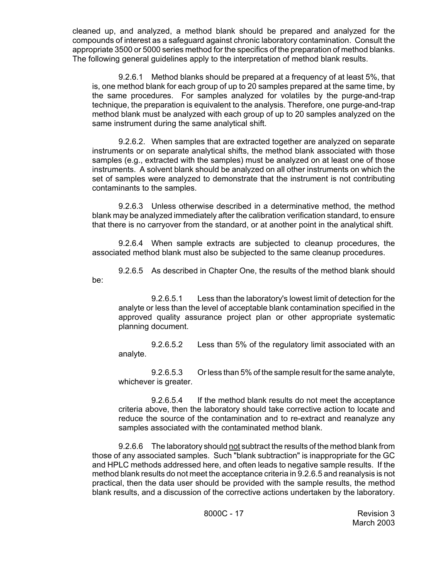cleaned up, and analyzed, a method blank should be prepared and analyzed for the compounds of interest as a safeguard against chronic laboratory contamination. Consult the appropriate 3500 or 5000 series method for the specifics of the preparation of method blanks. The following general guidelines apply to the interpretation of method blank results.

9.2.6.1 Method blanks should be prepared at a frequency of at least 5%, that is, one method blank for each group of up to 20 samples prepared at the same time, by the same procedures. For samples analyzed for volatiles by the purge-and-trap technique, the preparation is equivalent to the analysis. Therefore, one purge-and-trap method blank must be analyzed with each group of up to 20 samples analyzed on the same instrument during the same analytical shift.

9.2.6.2. When samples that are extracted together are analyzed on separate instruments or on separate analytical shifts, the method blank associated with those samples (e.g., extracted with the samples) must be analyzed on at least one of those instruments. A solvent blank should be analyzed on all other instruments on which the set of samples were analyzed to demonstrate that the instrument is not contributing contaminants to the samples.

9.2.6.3 Unless otherwise described in a determinative method, the method blank may be analyzed immediately after the calibration verification standard, to ensure that there is no carryover from the standard, or at another point in the analytical shift.

9.2.6.4 When sample extracts are subjected to cleanup procedures, the associated method blank must also be subjected to the same cleanup procedures.

9.2.6.5 As described in Chapter One, the results of the method blank should be:

9.2.6.5.1 Less than the laboratory's lowest limit of detection for the analyte or less than the level of acceptable blank contamination specified in the approved quality assurance project plan or other appropriate systematic planning document.

9.2.6.5.2 Less than 5% of the regulatory limit associated with an analyte.

9.2.6.5.3 Or less than 5% of the sample result for the same analyte, whichever is greater.

9.2.6.5.4 If the method blank results do not meet the acceptance criteria above, then the laboratory should take corrective action to locate and reduce the source of the contamination and to re-extract and reanalyze any samples associated with the contaminated method blank.

9.2.6.6 The laboratory should not subtract the results of the method blank from those of any associated samples. Such "blank subtraction" is inappropriate for the GC and HPLC methods addressed here, and often leads to negative sample results. If the method blank results do not meet the acceptance criteria in 9.2.6.5 and reanalysis is not practical, then the data user should be provided with the sample results, the method blank results, and a discussion of the corrective actions undertaken by the laboratory.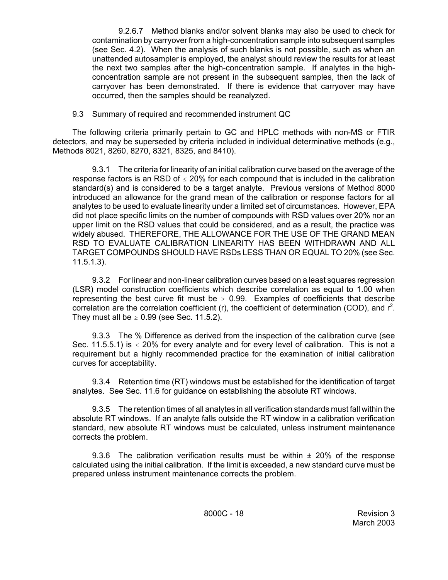9.2.6.7 Method blanks and/or solvent blanks may also be used to check for contamination by carryover from a high-concentration sample into subsequent samples (see Sec. 4.2). When the analysis of such blanks is not possible, such as when an unattended autosampler is employed, the analyst should review the results for at least the next two samples after the high-concentration sample. If analytes in the highconcentration sample are not present in the subsequent samples, then the lack of carryover has been demonstrated. If there is evidence that carryover may have occurred, then the samples should be reanalyzed.

9.3 Summary of required and recommended instrument QC

The following criteria primarily pertain to GC and HPLC methods with non-MS or FTIR detectors, and may be superseded by criteria included in individual determinative methods (e.g., Methods 8021, 8260, 8270, 8321, 8325, and 8410).

9.3.1 The criteria for linearity of an initial calibration curve based on the average of the response factors is an RSD of  $\leq$  20% for each compound that is included in the calibration standard(s) and is considered to be a target analyte. Previous versions of Method 8000 introduced an allowance for the grand mean of the calibration or response factors for all analytes to be used to evaluate linearity under a limited set of circumstances. However, EPA did not place specific limits on the number of compounds with RSD values over 20% nor an upper limit on the RSD values that could be considered, and as a result, the practice was widely abused. THEREFORE, THE ALLOWANCE FOR THE USE OF THE GRAND MEAN RSD TO EVALUATE CALIBRATION LINEARITY HAS BEEN WITHDRAWN AND ALL TARGET COMPOUNDS SHOULD HAVE RSDs LESS THAN OR EQUAL TO 20% (see Sec. 11.5.1.3).

9.3.2 For linear and non-linear calibration curves based on a least squares regression (LSR) model construction coefficients which describe correlation as equal to 1.00 when representing the best curve fit must be  $\geq 0.99$ . Examples of coefficients that describe correlation are the correlation coefficient (r), the coefficient of determination (COD), and  $r^2$ . They must all be  $\geq 0.99$  (see Sec. 11.5.2).

9.3.3 The % Difference as derived from the inspection of the calibration curve (see Sec. 11.5.5.1) is  $\leq$  20% for every analyte and for every level of calibration. This is not a requirement but a highly recommended practice for the examination of initial calibration curves for acceptability.

9.3.4 Retention time (RT) windows must be established for the identification of target analytes. See Sec. 11.6 for guidance on establishing the absolute RT windows.

9.3.5 The retention times of all analytes in all verification standards must fall within the absolute RT windows. If an analyte falls outside the RT window in a calibration verification standard, new absolute RT windows must be calculated, unless instrument maintenance corrects the problem.

9.3.6 The calibration verification results must be within ± 20% of the response calculated using the initial calibration. If the limit is exceeded, a new standard curve must be prepared unless instrument maintenance corrects the problem.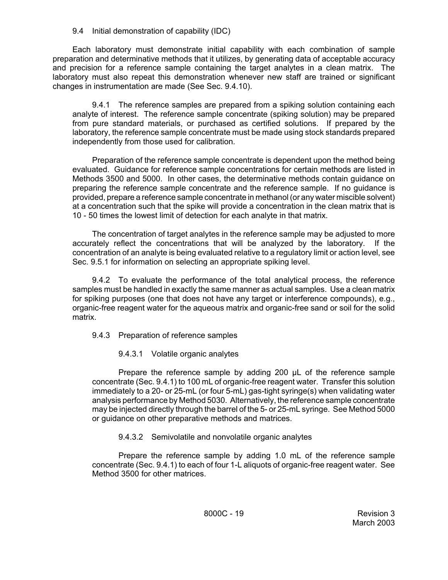## 9.4 Initial demonstration of capability (IDC)

Each laboratory must demonstrate initial capability with each combination of sample preparation and determinative methods that it utilizes, by generating data of acceptable accuracy and precision for a reference sample containing the target analytes in a clean matrix. The laboratory must also repeat this demonstration whenever new staff are trained or significant changes in instrumentation are made (See Sec. 9.4.10).

9.4.1 The reference samples are prepared from a spiking solution containing each analyte of interest. The reference sample concentrate (spiking solution) may be prepared from pure standard materials, or purchased as certified solutions. If prepared by the laboratory, the reference sample concentrate must be made using stock standards prepared independently from those used for calibration.

Preparation of the reference sample concentrate is dependent upon the method being evaluated. Guidance for reference sample concentrations for certain methods are listed in Methods 3500 and 5000. In other cases, the determinative methods contain guidance on preparing the reference sample concentrate and the reference sample. If no guidance is provided, prepare a reference sample concentrate in methanol (or any water miscible solvent) at a concentration such that the spike will provide a concentration in the clean matrix that is 10 - 50 times the lowest limit of detection for each analyte in that matrix.

The concentration of target analytes in the reference sample may be adjusted to more accurately reflect the concentrations that will be analyzed by the laboratory. If the concentration of an analyte is being evaluated relative to a regulatory limit or action level, see Sec. 9.5.1 for information on selecting an appropriate spiking level.

9.4.2 To evaluate the performance of the total analytical process, the reference samples must be handled in exactly the same manner as actual samples. Use a clean matrix for spiking purposes (one that does not have any target or interference compounds), e.g., organic-free reagent water for the aqueous matrix and organic-free sand or soil for the solid matrix.

- 9.4.3 Preparation of reference samples
	- 9.4.3.1 Volatile organic analytes

Prepare the reference sample by adding 200 µL of the reference sample concentrate (Sec. 9.4.1) to 100 mL of organic-free reagent water. Transfer this solution immediately to a 20- or 25-mL (or four 5-mL) gas-tight syringe(s) when validating water analysis performance by Method 5030. Alternatively, the reference sample concentrate may be injected directly through the barrel of the 5- or 25-mL syringe. See Method 5000 or guidance on other preparative methods and matrices.

# 9.4.3.2 Semivolatile and nonvolatile organic analytes

Prepare the reference sample by adding 1.0 mL of the reference sample concentrate (Sec. 9.4.1) to each of four 1-L aliquots of organic-free reagent water. See Method 3500 for other matrices.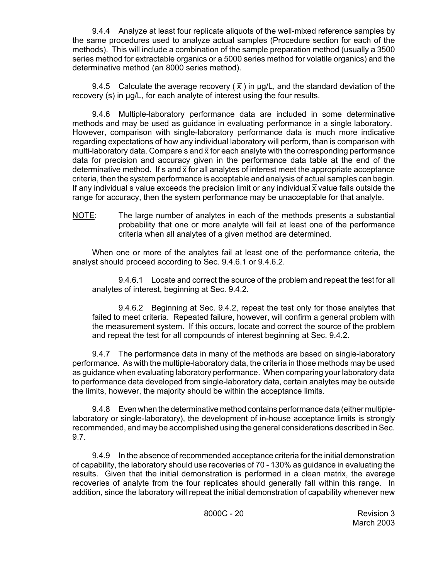9.4.4 Analyze at least four replicate aliquots of the well-mixed reference samples by the same procedures used to analyze actual samples (Procedure section for each of the methods). This will include a combination of the sample preparation method (usually a 3500 series method for extractable organics or a 5000 series method for volatile organics) and the determinative method (an 8000 series method).

9.4.5 Calculate the average recovery ( $\bar{x}$ ) in  $\mu$ g/L, and the standard deviation of the recovery (s) in µg/L, for each analyte of interest using the four results.

9.4.6 Multiple-laboratory performance data are included in some determinative methods and may be used as guidance in evaluating performance in a single laboratory. However, comparison with single-laboratory performance data is much more indicative regarding expectations of how any individual laboratory will perform, than is comparison with  $\log$  and  $\log$  constants of now any manuatan aboratory  $m$  for entermity analytic multi-laboratory data. Compare s and  $\bar{x}$  for each analyte with the corresponding performance data for precision and accuracy given in the performance data table at the end of the determinative method. If s and  $\overline{x}$  for all analytes of interest meet the appropriate acceptance criteria, then the system performance is acceptable and analysis of actual samples can begin. If any individual s value exceeds the precision limit or any individual  $\bar{x}$  value falls outside the range for accuracy, then the system performance may be unacceptable for that analyte.

NOTE: The large number of analytes in each of the methods presents a substantial probability that one or more analyte will fail at least one of the performance criteria when all analytes of a given method are determined.

When one or more of the analytes fail at least one of the performance criteria, the analyst should proceed according to Sec. 9.4.6.1 or 9.4.6.2.

9.4.6.1 Locate and correct the source of the problem and repeat the test for all analytes of interest, beginning at Sec. 9.4.2.

9.4.6.2 Beginning at Sec. 9.4.2, repeat the test only for those analytes that failed to meet criteria. Repeated failure, however, will confirm a general problem with the measurement system. If this occurs, locate and correct the source of the problem and repeat the test for all compounds of interest beginning at Sec. 9.4.2.

9.4.7 The performance data in many of the methods are based on single-laboratory performance. As with the multiple-laboratory data, the criteria in those methods may be used as guidance when evaluating laboratory performance. When comparing your laboratory data to performance data developed from single-laboratory data, certain analytes may be outside the limits, however, the majority should be within the acceptance limits.

9.4.8 Even when the determinative method contains performance data (either multiplelaboratory or single-laboratory), the development of in-house acceptance limits is strongly recommended, and may be accomplished using the general considerations described in Sec. 9.7.

9.4.9 In the absence of recommended acceptance criteria for the initial demonstration of capability, the laboratory should use recoveries of 70 - 130% as guidance in evaluating the results. Given that the initial demonstration is performed in a clean matrix, the average recoveries of analyte from the four replicates should generally fall within this range. In addition, since the laboratory will repeat the initial demonstration of capability whenever new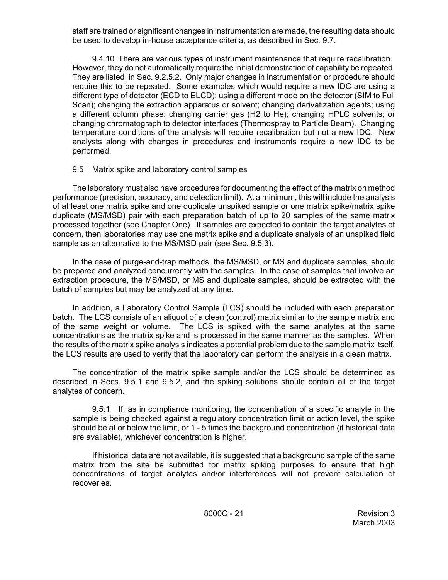staff are trained or significant changes in instrumentation are made, the resulting data should be used to develop in-house acceptance criteria, as described in Sec. 9.7.

9.4.10 There are various types of instrument maintenance that require recalibration. However, they do not automatically require the initial demonstration of capability be repeated. They are listed in Sec. 9.2.5.2. Only major changes in instrumentation or procedure should require this to be repeated. Some examples which would require a new IDC are using a different type of detector (ECD to ELCD); using a different mode on the detector (SIM to Full Scan); changing the extraction apparatus or solvent; changing derivatization agents; using a different column phase; changing carrier gas (H2 to He); changing HPLC solvents; or changing chromatograph to detector interfaces (Thermospray to Particle Beam). Changing temperature conditions of the analysis will require recalibration but not a new IDC. New analysts along with changes in procedures and instruments require a new IDC to be performed.

# 9.5 Matrix spike and laboratory control samples

The laboratory must also have procedures for documenting the effect of the matrix on method performance (precision, accuracy, and detection limit). At a minimum, this will include the analysis of at least one matrix spike and one duplicate unspiked sample or one matrix spike/matrix spike duplicate (MS/MSD) pair with each preparation batch of up to 20 samples of the same matrix processed together (see Chapter One). If samples are expected to contain the target analytes of concern, then laboratories may use one matrix spike and a duplicate analysis of an unspiked field sample as an alternative to the MS/MSD pair (see Sec. 9.5.3).

In the case of purge-and-trap methods, the MS/MSD, or MS and duplicate samples, should be prepared and analyzed concurrently with the samples. In the case of samples that involve an extraction procedure, the MS/MSD, or MS and duplicate samples, should be extracted with the batch of samples but may be analyzed at any time.

In addition, a Laboratory Control Sample (LCS) should be included with each preparation batch. The LCS consists of an aliquot of a clean (control) matrix similar to the sample matrix and of the same weight or volume. The LCS is spiked with the same analytes at the same concentrations as the matrix spike and is processed in the same manner as the samples. When the results of the matrix spike analysis indicates a potential problem due to the sample matrix itself, the LCS results are used to verify that the laboratory can perform the analysis in a clean matrix.

The concentration of the matrix spike sample and/or the LCS should be determined as described in Secs. 9.5.1 and 9.5.2, and the spiking solutions should contain all of the target analytes of concern.

9.5.1 If, as in compliance monitoring, the concentration of a specific analyte in the sample is being checked against a regulatory concentration limit or action level, the spike should be at or below the limit, or 1 - 5 times the background concentration (if historical data are available), whichever concentration is higher.

If historical data are not available, it is suggested that a background sample of the same matrix from the site be submitted for matrix spiking purposes to ensure that high concentrations of target analytes and/or interferences will not prevent calculation of recoveries.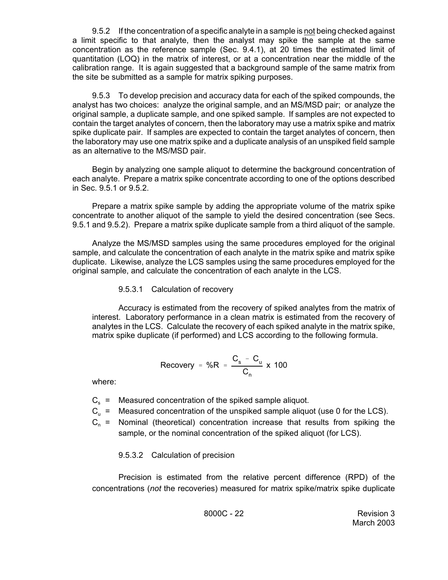9.5.2 If the concentration of a specific analyte in a sample is not being checked against a limit specific to that analyte, then the analyst may spike the sample at the same concentration as the reference sample (Sec. 9.4.1), at 20 times the estimated limit of quantitation (LOQ) in the matrix of interest, or at a concentration near the middle of the calibration range. It is again suggested that a background sample of the same matrix from the site be submitted as a sample for matrix spiking purposes.

9.5.3 To develop precision and accuracy data for each of the spiked compounds, the analyst has two choices: analyze the original sample, and an MS/MSD pair; or analyze the original sample, a duplicate sample, and one spiked sample. If samples are not expected to contain the target analytes of concern, then the laboratory may use a matrix spike and matrix spike duplicate pair. If samples are expected to contain the target analytes of concern, then the laboratory may use one matrix spike and a duplicate analysis of an unspiked field sample as an alternative to the MS/MSD pair.

Begin by analyzing one sample aliquot to determine the background concentration of each analyte. Prepare a matrix spike concentrate according to one of the options described in Sec. 9.5.1 or 9.5.2.

Prepare a matrix spike sample by adding the appropriate volume of the matrix spike concentrate to another aliquot of the sample to yield the desired concentration (see Secs. 9.5.1 and 9.5.2). Prepare a matrix spike duplicate sample from a third aliquot of the sample.

Analyze the MS/MSD samples using the same procedures employed for the original sample, and calculate the concentration of each analyte in the matrix spike and matrix spike duplicate. Likewise, analyze the LCS samples using the same procedures employed for the original sample, and calculate the concentration of each analyte in the LCS.

#### 9.5.3.1 Calculation of recovery

Accuracy is estimated from the recovery of spiked analytes from the matrix of interest. Laboratory performance in a clean matrix is estimated from the recovery of analytes in the LCS. Calculate the recovery of each spiked analyte in the matrix spike, matrix spike duplicate (if performed) and LCS according to the following formula.

$$
Recovery = \%R = \frac{C_s - C_u}{C_n} \times 100
$$

where:

- $C_s$  = Measured concentration of the spiked sample aliquot.
- $C_{u}$  = Measured concentration of the unspiked sample aliquot (use 0 for the LCS).
- $C_n$  = Nominal (theoretical) concentration increase that results from spiking the sample, or the nominal concentration of the spiked aliquot (for LCS).

# 9.5.3.2 Calculation of precision

Precision is estimated from the relative percent difference (RPD) of the concentrations (*not* the recoveries) measured for matrix spike/matrix spike duplicate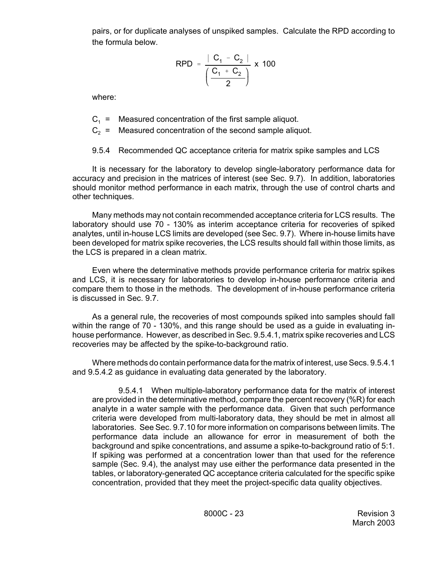pairs, or for duplicate analyses of unspiked samples. Calculate the RPD according to the formula below.

$$
\text{RPD} = \frac{|C_1 - C_2|}{\left(\frac{C_1 + C_2}{2}\right)} \times 100
$$

where:

 $C_1$  = Measured concentration of the first sample aliquot.

 $C_2$  = Measured concentration of the second sample aliquot.

9.5.4 Recommended QC acceptance criteria for matrix spike samples and LCS

It is necessary for the laboratory to develop single-laboratory performance data for accuracy and precision in the matrices of interest (see Sec. 9.7). In addition, laboratories should monitor method performance in each matrix, through the use of control charts and other techniques.

Many methods may not contain recommended acceptance criteria for LCS results. The laboratory should use 70 - 130% as interim acceptance criteria for recoveries of spiked analytes, until in-house LCS limits are developed (see Sec. 9.7). Where in-house limits have been developed for matrix spike recoveries, the LCS results should fall within those limits, as the LCS is prepared in a clean matrix.

Even where the determinative methods provide performance criteria for matrix spikes and LCS, it is necessary for laboratories to develop in-house performance criteria and compare them to those in the methods. The development of in-house performance criteria is discussed in Sec. 9.7.

As a general rule, the recoveries of most compounds spiked into samples should fall within the range of 70 - 130%, and this range should be used as a guide in evaluating inhouse performance. However, as described in Sec. 9.5.4.1, matrix spike recoveries and LCS recoveries may be affected by the spike-to-background ratio.

Where methods do contain performance data for the matrix of interest, use Secs. 9.5.4.1 and 9.5.4.2 as guidance in evaluating data generated by the laboratory.

9.5.4.1 When multiple-laboratory performance data for the matrix of interest are provided in the determinative method, compare the percent recovery (%R) for each analyte in a water sample with the performance data. Given that such performance criteria were developed from multi-laboratory data, they should be met in almost all laboratories. See Sec. 9.7.10 for more information on comparisons between limits. The performance data include an allowance for error in measurement of both the background and spike concentrations, and assume a spike-to-background ratio of 5:1. If spiking was performed at a concentration lower than that used for the reference sample (Sec. 9.4), the analyst may use either the performance data presented in the tables, or laboratory-generated QC acceptance criteria calculated for the specific spike concentration, provided that they meet the project-specific data quality objectives.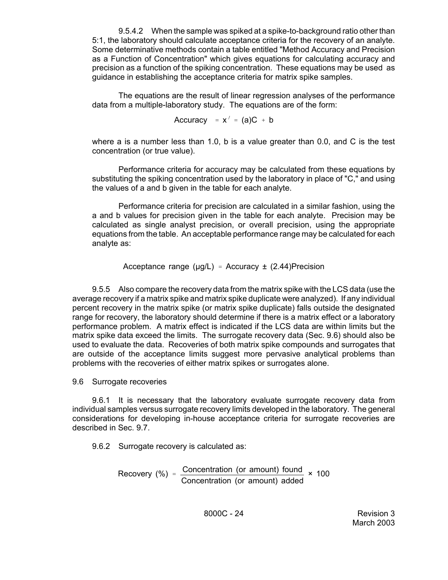9.5.4.2 When the sample was spiked at a spike-to-background ratio other than 5:1, the laboratory should calculate acceptance criteria for the recovery of an analyte. Some determinative methods contain a table entitled "Method Accuracy and Precision as a Function of Concentration" which gives equations for calculating accuracy and precision as a function of the spiking concentration. These equations may be used as guidance in establishing the acceptance criteria for matrix spike samples.

The equations are the result of linear regression analyses of the performance data from a multiple-laboratory study. The equations are of the form:

Accuracy =  $x'$  = (a)C + b

where a is a number less than 1.0, b is a value greater than 0.0, and C is the test concentration (or true value).

Performance criteria for accuracy may be calculated from these equations by substituting the spiking concentration used by the laboratory in place of "C," and using the values of a and b given in the table for each analyte.

Performance criteria for precision are calculated in a similar fashion, using the a and b values for precision given in the table for each analyte. Precision may be calculated as single analyst precision, or overall precision, using the appropriate equations from the table. An acceptable performance range may be calculated for each analyte as:

Acceptance range ( $\mu$ g/L) = Accuracy  $\pm$  (2.44)Precision

9.5.5 Also compare the recovery data from the matrix spike with the LCS data (use the average recovery if a matrix spike and matrix spike duplicate were analyzed). If any individual percent recovery in the matrix spike (or matrix spike duplicate) falls outside the designated range for recovery, the laboratory should determine if there is a matrix effect or a laboratory performance problem. A matrix effect is indicated if the LCS data are within limits but the matrix spike data exceed the limits. The surrogate recovery data (Sec. 9.6) should also be used to evaluate the data. Recoveries of both matrix spike compounds and surrogates that are outside of the acceptance limits suggest more pervasive analytical problems than problems with the recoveries of either matrix spikes or surrogates alone.

9.6 Surrogate recoveries

9.6.1 It is necessary that the laboratory evaluate surrogate recovery data from individual samples versus surrogate recovery limits developed in the laboratory. The general considerations for developing in-house acceptance criteria for surrogate recoveries are described in Sec. 9.7.

9.6.2 Surrogate recovery is calculated as:

$$
Recovery (%) = \frac{Concentration (or amount) found}{Concentration (or amount) added} \times 100
$$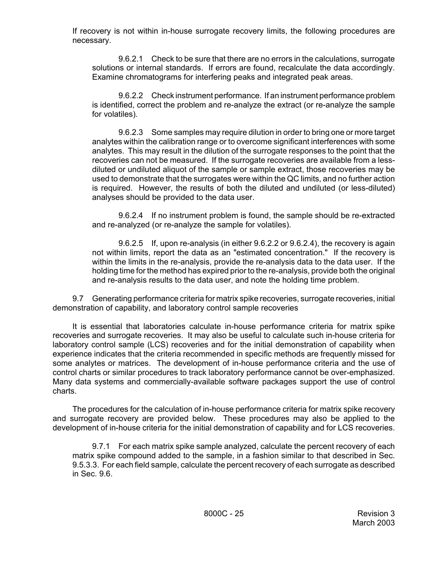If recovery is not within in-house surrogate recovery limits, the following procedures are necessary.

9.6.2.1 Check to be sure that there are no errors in the calculations, surrogate solutions or internal standards. If errors are found, recalculate the data accordingly. Examine chromatograms for interfering peaks and integrated peak areas.

9.6.2.2 Check instrument performance. If an instrument performance problem is identified, correct the problem and re-analyze the extract (or re-analyze the sample for volatiles).

9.6.2.3 Some samples may require dilution in order to bring one or more target analytes within the calibration range or to overcome significant interferences with some analytes. This may result in the dilution of the surrogate responses to the point that the recoveries can not be measured. If the surrogate recoveries are available from a lessdiluted or undiluted aliquot of the sample or sample extract, those recoveries may be used to demonstrate that the surrogates were within the QC limits, and no further action is required. However, the results of both the diluted and undiluted (or less-diluted) analyses should be provided to the data user.

9.6.2.4 If no instrument problem is found, the sample should be re-extracted and re-analyzed (or re-analyze the sample for volatiles).

9.6.2.5 If, upon re-analysis (in either 9.6.2.2 or 9.6.2.4), the recovery is again not within limits, report the data as an "estimated concentration." If the recovery is within the limits in the re-analysis, provide the re-analysis data to the data user. If the holding time for the method has expired prior to the re-analysis, provide both the original and re-analysis results to the data user, and note the holding time problem.

9.7 Generating performance criteria for matrix spike recoveries, surrogate recoveries, initial demonstration of capability, and laboratory control sample recoveries

It is essential that laboratories calculate in-house performance criteria for matrix spike recoveries and surrogate recoveries. It may also be useful to calculate such in-house criteria for laboratory control sample (LCS) recoveries and for the initial demonstration of capability when experience indicates that the criteria recommended in specific methods are frequently missed for some analytes or matrices. The development of in-house performance criteria and the use of control charts or similar procedures to track laboratory performance cannot be over-emphasized. Many data systems and commercially-available software packages support the use of control charts.

The procedures for the calculation of in-house performance criteria for matrix spike recovery and surrogate recovery are provided below. These procedures may also be applied to the development of in-house criteria for the initial demonstration of capability and for LCS recoveries.

9.7.1 For each matrix spike sample analyzed, calculate the percent recovery of each matrix spike compound added to the sample, in a fashion similar to that described in Sec. 9.5.3.3. For each field sample, calculate the percent recovery of each surrogate as described in Sec. 9.6.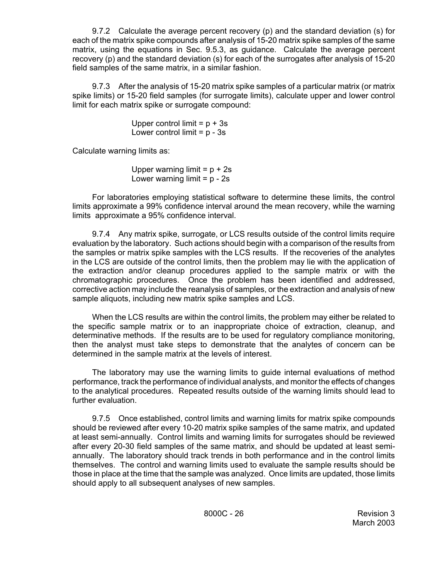9.7.2 Calculate the average percent recovery (p) and the standard deviation (s) for each of the matrix spike compounds after analysis of 15-20 matrix spike samples of the same matrix, using the equations in Sec. 9.5.3, as guidance. Calculate the average percent recovery (p) and the standard deviation (s) for each of the surrogates after analysis of 15-20 field samples of the same matrix, in a similar fashion.

9.7.3 After the analysis of 15-20 matrix spike samples of a particular matrix (or matrix spike limits) or 15-20 field samples (for surrogate limits), calculate upper and lower control limit for each matrix spike or surrogate compound:

> Upper control limit  $= p + 3s$ Lower control limit  $= p - 3s$

Calculate warning limits as:

Upper warning limit =  $p + 2s$ Lower warning limit  $= p - 2s$ 

For laboratories employing statistical software to determine these limits, the control limits approximate a 99% confidence interval around the mean recovery, while the warning limits approximate a 95% confidence interval.

9.7.4 Any matrix spike, surrogate, or LCS results outside of the control limits require evaluation by the laboratory. Such actions should begin with a comparison of the results from the samples or matrix spike samples with the LCS results. If the recoveries of the analytes in the LCS are outside of the control limits, then the problem may lie with the application of the extraction and/or cleanup procedures applied to the sample matrix or with the chromatographic procedures. Once the problem has been identified and addressed, corrective action may include the reanalysis of samples, or the extraction and analysis of new sample aliquots, including new matrix spike samples and LCS.

When the LCS results are within the control limits, the problem may either be related to the specific sample matrix or to an inappropriate choice of extraction, cleanup, and determinative methods. If the results are to be used for regulatory compliance monitoring, then the analyst must take steps to demonstrate that the analytes of concern can be determined in the sample matrix at the levels of interest.

The laboratory may use the warning limits to guide internal evaluations of method performance, track the performance of individual analysts, and monitor the effects of changes to the analytical procedures. Repeated results outside of the warning limits should lead to further evaluation.

9.7.5 Once established, control limits and warning limits for matrix spike compounds should be reviewed after every 10-20 matrix spike samples of the same matrix, and updated at least semi-annually. Control limits and warning limits for surrogates should be reviewed after every 20-30 field samples of the same matrix, and should be updated at least semiannually. The laboratory should track trends in both performance and in the control limits themselves. The control and warning limits used to evaluate the sample results should be those in place at the time that the sample was analyzed. Once limits are updated, those limits should apply to all subsequent analyses of new samples.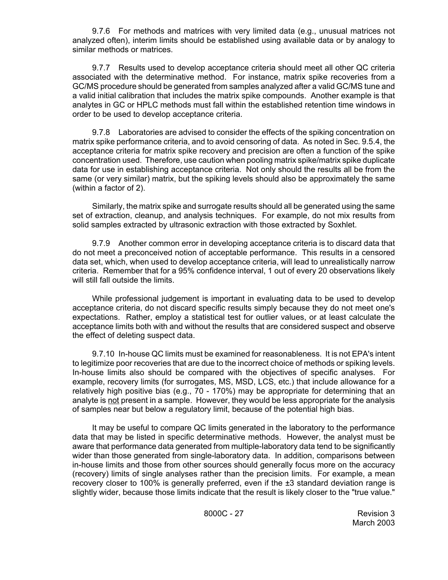9.7.6 For methods and matrices with very limited data (e.g., unusual matrices not analyzed often), interim limits should be established using available data or by analogy to similar methods or matrices.

9.7.7 Results used to develop acceptance criteria should meet all other QC criteria associated with the determinative method. For instance, matrix spike recoveries from a GC/MS procedure should be generated from samples analyzed after a valid GC/MS tune and a valid initial calibration that includes the matrix spike compounds. Another example is that analytes in GC or HPLC methods must fall within the established retention time windows in order to be used to develop acceptance criteria.

9.7.8 Laboratories are advised to consider the effects of the spiking concentration on matrix spike performance criteria, and to avoid censoring of data. As noted in Sec. 9.5.4, the acceptance criteria for matrix spike recovery and precision are often a function of the spike concentration used. Therefore, use caution when pooling matrix spike/matrix spike duplicate data for use in establishing acceptance criteria. Not only should the results all be from the same (or very similar) matrix, but the spiking levels should also be approximately the same (within a factor of 2).

Similarly, the matrix spike and surrogate results should all be generated using the same set of extraction, cleanup, and analysis techniques. For example, do not mix results from solid samples extracted by ultrasonic extraction with those extracted by Soxhlet.

9.7.9 Another common error in developing acceptance criteria is to discard data that do not meet a preconceived notion of acceptable performance. This results in a censored data set, which, when used to develop acceptance criteria, will lead to unrealistically narrow criteria. Remember that for a 95% confidence interval, 1 out of every 20 observations likely will still fall outside the limits.

While professional judgement is important in evaluating data to be used to develop acceptance criteria, do not discard specific results simply because they do not meet one's expectations. Rather, employ a statistical test for outlier values, or at least calculate the acceptance limits both with and without the results that are considered suspect and observe the effect of deleting suspect data.

9.7.10 In-house QC limits must be examined for reasonableness. It is not EPA's intent to legitimize poor recoveries that are due to the incorrect choice of methods or spiking levels. In-house limits also should be compared with the objectives of specific analyses. For example, recovery limits (for surrogates, MS, MSD, LCS, etc.) that include allowance for a relatively high positive bias (e.g., 70 - 170%) may be appropriate for determining that an analyte is not present in a sample. However, they would be less appropriate for the analysis of samples near but below a regulatory limit, because of the potential high bias.

It may be useful to compare QC limits generated in the laboratory to the performance data that may be listed in specific determinative methods. However, the analyst must be aware that performance data generated from multiple-laboratory data tend to be significantly wider than those generated from single-laboratory data. In addition, comparisons between in-house limits and those from other sources should generally focus more on the accuracy (recovery) limits of single analyses rather than the precision limits. For example, a mean recovery closer to 100% is generally preferred, even if the ±3 standard deviation range is slightly wider, because those limits indicate that the result is likely closer to the "true value."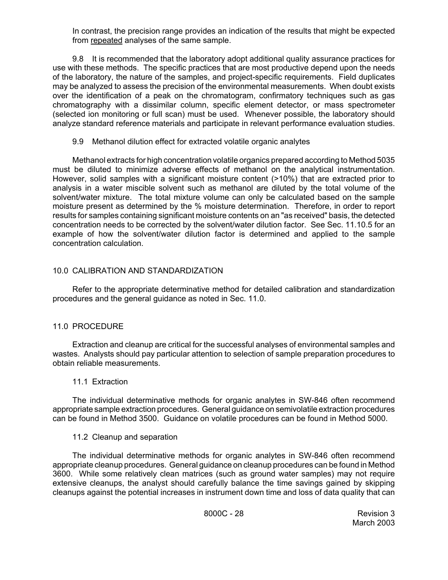In contrast, the precision range provides an indication of the results that might be expected from repeated analyses of the same sample.

9.8 It is recommended that the laboratory adopt additional quality assurance practices for use with these methods. The specific practices that are most productive depend upon the needs of the laboratory, the nature of the samples, and project-specific requirements. Field duplicates may be analyzed to assess the precision of the environmental measurements. When doubt exists over the identification of a peak on the chromatogram, confirmatory techniques such as gas chromatography with a dissimilar column, specific element detector, or mass spectrometer (selected ion monitoring or full scan) must be used. Whenever possible, the laboratory should analyze standard reference materials and participate in relevant performance evaluation studies.

9.9 Methanol dilution effect for extracted volatile organic analytes

Methanol extracts for high concentration volatile organics prepared according to Method 5035 must be diluted to minimize adverse effects of methanol on the analytical instrumentation. However, solid samples with a significant moisture content (>10%) that are extracted prior to analysis in a water miscible solvent such as methanol are diluted by the total volume of the solvent/water mixture. The total mixture volume can only be calculated based on the sample moisture present as determined by the % moisture determination. Therefore, in order to report results for samples containing significant moisture contents on an "as received" basis, the detected concentration needs to be corrected by the solvent/water dilution factor. See Sec. 11.10.5 for an example of how the solvent/water dilution factor is determined and applied to the sample concentration calculation.

# 10.0 CALIBRATION AND STANDARDIZATION

Refer to the appropriate determinative method for detailed calibration and standardization procedures and the general guidance as noted in Sec. 11.0.

# 11.0 PROCEDURE

Extraction and cleanup are critical for the successful analyses of environmental samples and wastes. Analysts should pay particular attention to selection of sample preparation procedures to obtain reliable measurements.

## 11.1 Extraction

The individual determinative methods for organic analytes in SW-846 often recommend appropriate sample extraction procedures. General guidance on semivolatile extraction procedures can be found in Method 3500. Guidance on volatile procedures can be found in Method 5000.

## 11.2 Cleanup and separation

The individual determinative methods for organic analytes in SW-846 often recommend appropriate cleanup procedures. General guidance on cleanup procedures can be found in Method 3600. While some relatively clean matrices (such as ground water samples) may not require extensive cleanups, the analyst should carefully balance the time savings gained by skipping cleanups against the potential increases in instrument down time and loss of data quality that can

8000C - 28 Revision 3 March 2003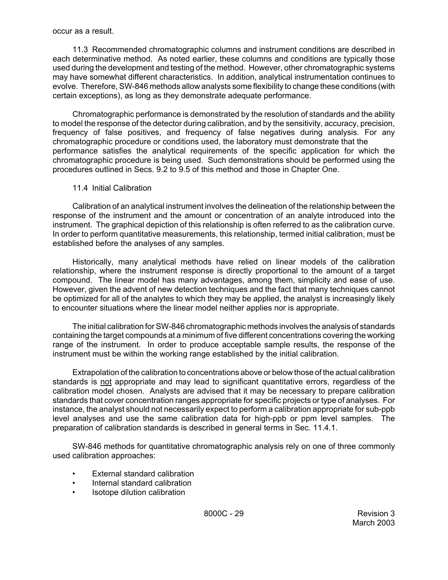#### occur as a result.

11.3 Recommended chromatographic columns and instrument conditions are described in each determinative method. As noted earlier, these columns and conditions are typically those used during the development and testing of the method. However, other chromatographic systems may have somewhat different characteristics. In addition, analytical instrumentation continues to evolve. Therefore, SW-846 methods allow analysts some flexibility to change these conditions (with certain exceptions), as long as they demonstrate adequate performance.

Chromatographic performance is demonstrated by the resolution of standards and the ability to model the response of the detector during calibration, and by the sensitivity, accuracy, precision, frequency of false positives, and frequency of false negatives during analysis. For any chromatographic procedure or conditions used, the laboratory must demonstrate that the performance satisfies the analytical requirements of the specific application for which the chromatographic procedure is being used. Such demonstrations should be performed using the procedures outlined in Secs. 9.2 to 9.5 of this method and those in Chapter One.

## 11.4 Initial Calibration

Calibration of an analytical instrument involves the delineation of the relationship between the response of the instrument and the amount or concentration of an analyte introduced into the instrument. The graphical depiction of this relationship is often referred to as the calibration curve. In order to perform quantitative measurements, this relationship, termed initial calibration, must be established before the analyses of any samples.

Historically, many analytical methods have relied on linear models of the calibration relationship, where the instrument response is directly proportional to the amount of a target compound. The linear model has many advantages, among them, simplicity and ease of use. However, given the advent of new detection techniques and the fact that many techniques cannot be optimized for all of the analytes to which they may be applied, the analyst is increasingly likely to encounter situations where the linear model neither applies nor is appropriate.

The initial calibration for SW-846 chromatographic methods involves the analysis of standards containing the target compounds at a minimum of five different concentrations covering the working range of the instrument. In order to produce acceptable sample results, the response of the instrument must be within the working range established by the initial calibration.

Extrapolation of the calibration to concentrations above or below those of the actual calibration standards is not appropriate and may lead to significant quantitative errors, regardless of the calibration model chosen. Analysts are advised that it may be necessary to prepare calibration standards that cover concentration ranges appropriate for specific projects or type of analyses. For instance, the analyst should not necessarily expect to perform a calibration appropriate for sub-ppb level analyses and use the same calibration data for high-ppb or ppm level samples. The preparation of calibration standards is described in general terms in Sec. 11.4.1.

SW-846 methods for quantitative chromatographic analysis rely on one of three commonly used calibration approaches:

- External standard calibration
- Internal standard calibration
- Isotope dilution calibration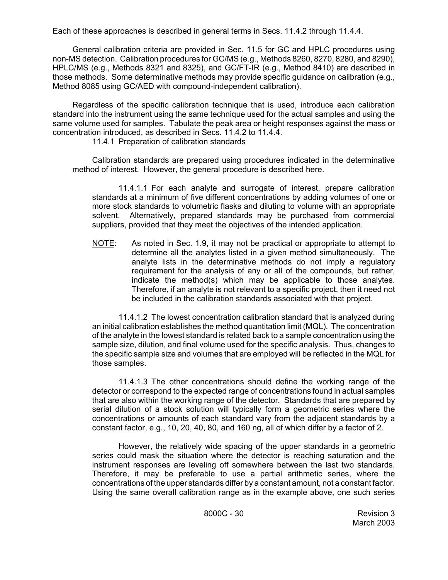Each of these approaches is described in general terms in Secs. 11.4.2 through 11.4.4.

General calibration criteria are provided in Sec. 11.5 for GC and HPLC procedures using non-MS detection. Calibration procedures for GC/MS (e.g., Methods 8260, 8270, 8280, and 8290), HPLC/MS (e.g., Methods 8321 and 8325), and GC/FT-IR (e.g., Method 8410) are described in those methods. Some determinative methods may provide specific guidance on calibration (e.g., Method 8085 using GC/AED with compound-independent calibration).

Regardless of the specific calibration technique that is used, introduce each calibration standard into the instrument using the same technique used for the actual samples and using the same volume used for samples. Tabulate the peak area or height responses against the mass or concentration introduced, as described in Secs. 11.4.2 to 11.4.4.

11.4.1 Preparation of calibration standards

Calibration standards are prepared using procedures indicated in the determinative method of interest. However, the general procedure is described here.

11.4.1.1 For each analyte and surrogate of interest, prepare calibration standards at a minimum of five different concentrations by adding volumes of one or more stock standards to volumetric flasks and diluting to volume with an appropriate solvent. Alternatively, prepared standards may be purchased from commercial suppliers, provided that they meet the objectives of the intended application.

NOTE: As noted in Sec. 1.9, it may not be practical or appropriate to attempt to determine all the analytes listed in a given method simultaneously. The analyte lists in the determinative methods do not imply a regulatory requirement for the analysis of any or all of the compounds, but rather, indicate the method(s) which may be applicable to those analytes. Therefore, if an analyte is not relevant to a specific project, then it need not be included in the calibration standards associated with that project.

11.4.1.2 The lowest concentration calibration standard that is analyzed during an initial calibration establishes the method quantitation limit (MQL). The concentration of the analyte in the lowest standard is related back to a sample concentration using the sample size, dilution, and final volume used for the specific analysis. Thus, changes to the specific sample size and volumes that are employed will be reflected in the MQL for those samples.

11.4.1.3 The other concentrations should define the working range of the detector or correspond to the expected range of concentrations found in actual samples that are also within the working range of the detector. Standards that are prepared by serial dilution of a stock solution will typically form a geometric series where the concentrations or amounts of each standard vary from the adjacent standards by a constant factor, e.g., 10, 20, 40, 80, and 160 ng, all of which differ by a factor of 2.

However, the relatively wide spacing of the upper standards in a geometric series could mask the situation where the detector is reaching saturation and the instrument responses are leveling off somewhere between the last two standards. Therefore, it may be preferable to use a partial arithmetic series, where the concentrations of the upper standards differ by a constant amount, not a constant factor. Using the same overall calibration range as in the example above, one such series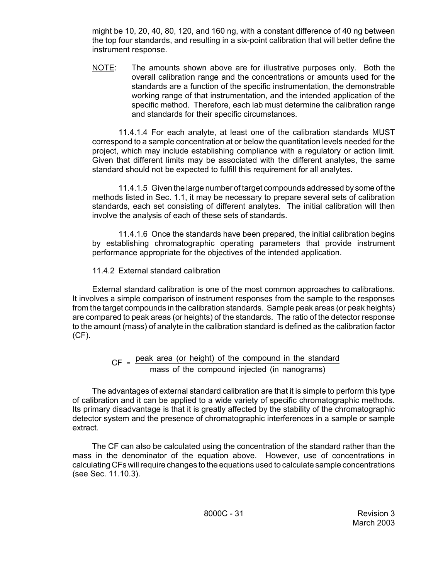might be 10, 20, 40, 80, 120, and 160 ng, with a constant difference of 40 ng between the top four standards, and resulting in a six-point calibration that will better define the instrument response.

NOTE: The amounts shown above are for illustrative purposes only. Both the overall calibration range and the concentrations or amounts used for the standards are a function of the specific instrumentation, the demonstrable working range of that instrumentation, and the intended application of the specific method. Therefore, each lab must determine the calibration range and standards for their specific circumstances.

11.4.1.4 For each analyte, at least one of the calibration standards MUST correspond to a sample concentration at or below the quantitation levels needed for the project, which may include establishing compliance with a regulatory or action limit. Given that different limits may be associated with the different analytes, the same standard should not be expected to fulfill this requirement for all analytes.

11.4.1.5 Given the large number of target compounds addressed by some of the methods listed in Sec. 1.1, it may be necessary to prepare several sets of calibration standards, each set consisting of different analytes. The initial calibration will then involve the analysis of each of these sets of standards.

11.4.1.6 Once the standards have been prepared, the initial calibration begins by establishing chromatographic operating parameters that provide instrument performance appropriate for the objectives of the intended application.

11.4.2 External standard calibration

External standard calibration is one of the most common approaches to calibrations. It involves a simple comparison of instrument responses from the sample to the responses from the target compounds in the calibration standards. Sample peak areas (or peak heights) are compared to peak areas (or heights) of the standards. The ratio of the detector response to the amount (mass) of analyte in the calibration standard is defined as the calibration factor (CF).

# $CF =$  peak area (or height) of the compound in the standard mass of the compound injected (in nanograms)

The advantages of external standard calibration are that it is simple to perform this type of calibration and it can be applied to a wide variety of specific chromatographic methods. Its primary disadvantage is that it is greatly affected by the stability of the chromatographic detector system and the presence of chromatographic interferences in a sample or sample extract.

The CF can also be calculated using the concentration of the standard rather than the mass in the denominator of the equation above. However, use of concentrations in calculating CFs will require changes to the equations used to calculate sample concentrations (see Sec. 11.10.3).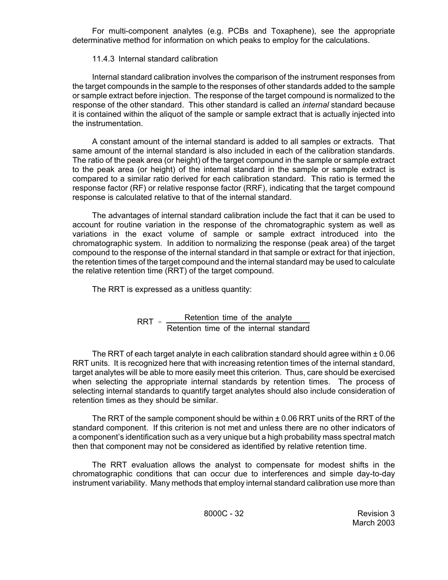For multi-component analytes (e.g. PCBs and Toxaphene), see the appropriate determinative method for information on which peaks to employ for the calculations.

## 11.4.3 Internal standard calibration

Internal standard calibration involves the comparison of the instrument responses from the target compounds in the sample to the responses of other standards added to the sample or sample extract before injection. The response of the target compound is normalized to the response of the other standard. This other standard is called an *internal* standard because it is contained within the aliquot of the sample or sample extract that is actually injected into the instrumentation.

A constant amount of the internal standard is added to all samples or extracts. That same amount of the internal standard is also included in each of the calibration standards. The ratio of the peak area (or height) of the target compound in the sample or sample extract to the peak area (or height) of the internal standard in the sample or sample extract is compared to a similar ratio derived for each calibration standard. This ratio is termed the response factor (RF) or relative response factor (RRF), indicating that the target compound response is calculated relative to that of the internal standard.

The advantages of internal standard calibration include the fact that it can be used to account for routine variation in the response of the chromatographic system as well as variations in the exact volume of sample or sample extract introduced into the chromatographic system. In addition to normalizing the response (peak area) of the target compound to the response of the internal standard in that sample or extract for that injection, the retention times of the target compound and the internal standard may be used to calculate the relative retention time (RRT) of the target compound.

The RRT is expressed as a unitless quantity:

 $RRT =$  Retention time of the analyte Retention time of the internal standard

The RRT of each target analyte in each calibration standard should agree within  $\pm 0.06$ RRT units. It is recognized here that with increasing retention times of the internal standard, target analytes will be able to more easily meet this criterion. Thus, care should be exercised when selecting the appropriate internal standards by retention times. The process of selecting internal standards to quantify target analytes should also include consideration of retention times as they should be similar.

The RRT of the sample component should be within  $\pm$  0.06 RRT units of the RRT of the standard component. If this criterion is not met and unless there are no other indicators of a component's identification such as a very unique but a high probability mass spectral match then that component may not be considered as identified by relative retention time.

The RRT evaluation allows the analyst to compensate for modest shifts in the chromatographic conditions that can occur due to interferences and simple day-to-day instrument variability. Many methods that employ internal standard calibration use more than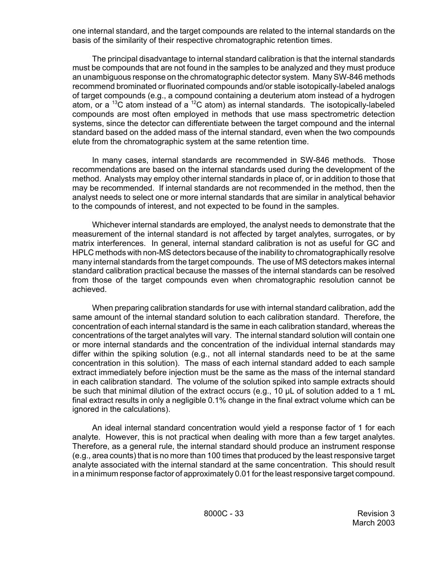one internal standard, and the target compounds are related to the internal standards on the basis of the similarity of their respective chromatographic retention times.

The principal disadvantage to internal standard calibration is that the internal standards must be compounds that are not found in the samples to be analyzed and they must produce an unambiguous response on the chromatographic detector system. Many SW-846 methods recommend brominated or fluorinated compounds and/or stable isotopically-labeled analogs of target compounds (e.g., a compound containing a deuterium atom instead of a hydrogen atom, or a <sup>13</sup>C atom instead of a <sup>12</sup>C atom) as internal standards. The isotopically-labeled compounds are most often employed in methods that use mass spectrometric detection systems, since the detector can differentiate between the target compound and the internal standard based on the added mass of the internal standard, even when the two compounds elute from the chromatographic system at the same retention time.

In many cases, internal standards are recommended in SW-846 methods. Those recommendations are based on the internal standards used during the development of the method. Analysts may employ other internal standards in place of, or in addition to those that may be recommended. If internal standards are not recommended in the method, then the analyst needs to select one or more internal standards that are similar in analytical behavior to the compounds of interest, and not expected to be found in the samples.

Whichever internal standards are employed, the analyst needs to demonstrate that the measurement of the internal standard is not affected by target analytes, surrogates, or by matrix interferences. In general, internal standard calibration is not as useful for GC and HPLC methods with non-MS detectors because of the inability to chromatographically resolve many internal standards from the target compounds. The use of MS detectors makes internal standard calibration practical because the masses of the internal standards can be resolved from those of the target compounds even when chromatographic resolution cannot be achieved.

When preparing calibration standards for use with internal standard calibration, add the same amount of the internal standard solution to each calibration standard. Therefore, the concentration of each internal standard is the same in each calibration standard, whereas the concentrations of the target analytes will vary. The internal standard solution will contain one or more internal standards and the concentration of the individual internal standards may differ within the spiking solution (e.g., not all internal standards need to be at the same concentration in this solution). The mass of each internal standard added to each sample extract immediately before injection must be the same as the mass of the internal standard in each calibration standard. The volume of the solution spiked into sample extracts should be such that minimal dilution of the extract occurs (e.g., 10 µL of solution added to a 1 mL final extract results in only a negligible 0.1% change in the final extract volume which can be ignored in the calculations).

An ideal internal standard concentration would yield a response factor of 1 for each analyte. However, this is not practical when dealing with more than a few target analytes. Therefore, as a general rule, the internal standard should produce an instrument response (e.g., area counts) that is no more than 100 times that produced by the least responsive target analyte associated with the internal standard at the same concentration. This should result in a minimum response factor of approximately 0.01 for the least responsive target compound.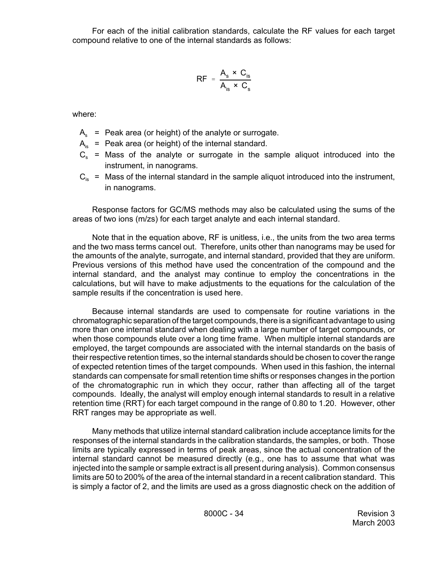For each of the initial calibration standards, calculate the RF values for each target compound relative to one of the internal standards as follows:

$$
RF = \frac{A_s \times C_{is}}{A_{is} \times C_s}
$$

where:

- $A_s$  = Peak area (or height) of the analyte or surrogate.
- $A_{iS}$  = Peak area (or height) of the internal standard.
- $C_s$  = Mass of the analyte or surrogate in the sample aliquot introduced into the instrument, in nanograms.
- $C_{is}$  = Mass of the internal standard in the sample aliquot introduced into the instrument, in nanograms.

Response factors for GC/MS methods may also be calculated using the sums of the areas of two ions (m/zs) for each target analyte and each internal standard.

Note that in the equation above, RF is unitless, i.e., the units from the two area terms and the two mass terms cancel out. Therefore, units other than nanograms may be used for the amounts of the analyte, surrogate, and internal standard, provided that they are uniform. Previous versions of this method have used the concentration of the compound and the internal standard, and the analyst may continue to employ the concentrations in the calculations, but will have to make adjustments to the equations for the calculation of the sample results if the concentration is used here.

Because internal standards are used to compensate for routine variations in the chromatographic separation of the target compounds, there is a significant advantage to using more than one internal standard when dealing with a large number of target compounds, or when those compounds elute over a long time frame. When multiple internal standards are employed, the target compounds are associated with the internal standards on the basis of their respective retention times, so the internal standards should be chosen to cover the range of expected retention times of the target compounds. When used in this fashion, the internal standards can compensate for small retention time shifts or responses changes in the portion of the chromatographic run in which they occur, rather than affecting all of the target compounds. Ideally, the analyst will employ enough internal standards to result in a relative retention time (RRT) for each target compound in the range of 0.80 to 1.20. However, other RRT ranges may be appropriate as well.

Many methods that utilize internal standard calibration include acceptance limits for the responses of the internal standards in the calibration standards, the samples, or both. Those limits are typically expressed in terms of peak areas, since the actual concentration of the internal standard cannot be measured directly (e.g., one has to assume that what was injected into the sample or sample extract is all present during analysis). Common consensus limits are 50 to 200% of the area of the internal standard in a recent calibration standard. This is simply a factor of 2, and the limits are used as a gross diagnostic check on the addition of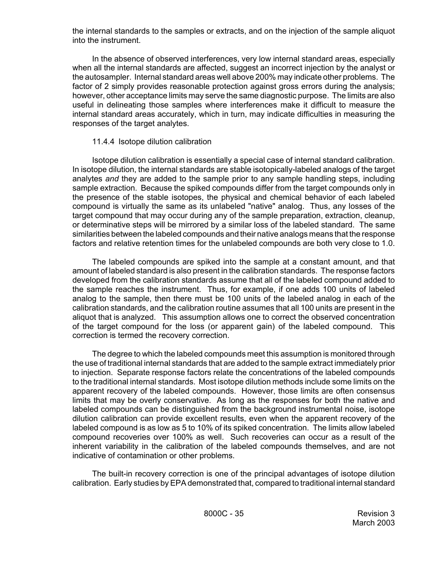the internal standards to the samples or extracts, and on the injection of the sample aliquot into the instrument.

In the absence of observed interferences, very low internal standard areas, especially when all the internal standards are affected, suggest an incorrect injection by the analyst or the autosampler. Internal standard areas well above 200% may indicate other problems. The factor of 2 simply provides reasonable protection against gross errors during the analysis; however, other acceptance limits may serve the same diagnostic purpose. The limits are also useful in delineating those samples where interferences make it difficult to measure the internal standard areas accurately, which in turn, may indicate difficulties in measuring the responses of the target analytes.

# 11.4.4 Isotope dilution calibration

Isotope dilution calibration is essentially a special case of internal standard calibration. In isotope dilution, the internal standards are stable isotopically-labeled analogs of the target analytes *and* they are added to the sample prior to any sample handling steps, including sample extraction. Because the spiked compounds differ from the target compounds only in the presence of the stable isotopes, the physical and chemical behavior of each labeled compound is virtually the same as its unlabeled "native" analog. Thus, any losses of the target compound that may occur during any of the sample preparation, extraction, cleanup, or determinative steps will be mirrored by a similar loss of the labeled standard. The same similarities between the labeled compounds and their native analogs means that the response factors and relative retention times for the unlabeled compounds are both very close to 1.0.

The labeled compounds are spiked into the sample at a constant amount, and that amount of labeled standard is also present in the calibration standards. The response factors developed from the calibration standards assume that all of the labeled compound added to the sample reaches the instrument. Thus, for example, if one adds 100 units of labeled analog to the sample, then there must be 100 units of the labeled analog in each of the calibration standards, and the calibration routine assumes that all 100 units are present in the aliquot that is analyzed. This assumption allows one to correct the observed concentration of the target compound for the loss (or apparent gain) of the labeled compound. This correction is termed the recovery correction.

The degree to which the labeled compounds meet this assumption is monitored through the use of traditional internal standards that are added to the sample extract immediately prior to injection. Separate response factors relate the concentrations of the labeled compounds to the traditional internal standards. Most isotope dilution methods include some limits on the apparent recovery of the labeled compounds. However, those limits are often consensus limits that may be overly conservative. As long as the responses for both the native and labeled compounds can be distinguished from the background instrumental noise, isotope dilution calibration can provide excellent results, even when the apparent recovery of the labeled compound is as low as 5 to 10% of its spiked concentration. The limits allow labeled compound recoveries over 100% as well. Such recoveries can occur as a result of the inherent variability in the calibration of the labeled compounds themselves, and are not indicative of contamination or other problems.

The built-in recovery correction is one of the principal advantages of isotope dilution calibration. Early studies by EPA demonstrated that, compared to traditional internal standard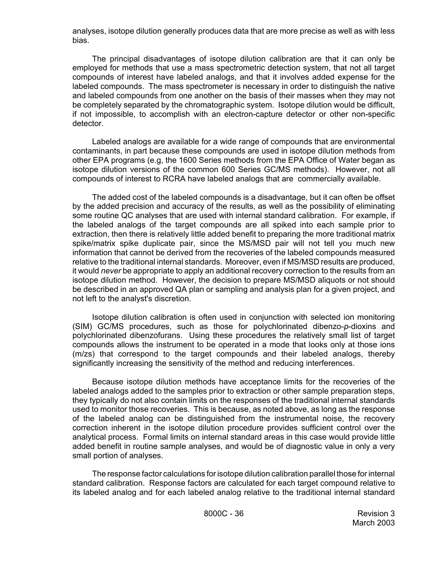analyses, isotope dilution generally produces data that are more precise as well as with less bias.

The principal disadvantages of isotope dilution calibration are that it can only be employed for methods that use a mass spectrometric detection system, that not all target compounds of interest have labeled analogs, and that it involves added expense for the labeled compounds. The mass spectrometer is necessary in order to distinguish the native and labeled compounds from one another on the basis of their masses when they may not be completely separated by the chromatographic system. Isotope dilution would be difficult, if not impossible, to accomplish with an electron-capture detector or other non-specific detector.

Labeled analogs are available for a wide range of compounds that are environmental contaminants, in part because these compounds are used in isotope dilution methods from other EPA programs (e.g, the 1600 Series methods from the EPA Office of Water began as isotope dilution versions of the common 600 Series GC/MS methods). However, not all compounds of interest to RCRA have labeled analogs that are commercially available.

The added cost of the labeled compounds is a disadvantage, but it can often be offset by the added precision and accuracy of the results, as well as the possibility of eliminating some routine QC analyses that are used with internal standard calibration. For example, if the labeled analogs of the target compounds are all spiked into each sample prior to extraction, then there is relatively little added benefit to preparing the more traditional matrix spike/matrix spike duplicate pair, since the MS/MSD pair will not tell you much new information that cannot be derived from the recoveries of the labeled compounds measured relative to the traditional internal standards. Moreover, even if MS/MSD results are produced, it would *never* be appropriate to apply an additional recovery correction to the results from an isotope dilution method. However, the decision to prepare MS/MSD aliquots or not should be described in an approved QA plan or sampling and analysis plan for a given project, and not left to the analyst's discretion.

Isotope dilution calibration is often used in conjunction with selected ion monitoring (SIM) GC/MS procedures, such as those for polychlorinated dibenzo-*p*-dioxins and polychlorinated dibenzofurans. Using these procedures the relatively small list of target compounds allows the instrument to be operated in a mode that looks only at those ions (m/zs) that correspond to the target compounds and their labeled analogs, thereby significantly increasing the sensitivity of the method and reducing interferences.

Because isotope dilution methods have acceptance limits for the recoveries of the labeled analogs added to the samples prior to extraction or other sample preparation steps, they typically do not also contain limits on the responses of the traditional internal standards used to monitor those recoveries. This is because, as noted above, as long as the response of the labeled analog can be distinguished from the instrumental noise, the recovery correction inherent in the isotope dilution procedure provides sufficient control over the analytical process. Formal limits on internal standard areas in this case would provide little added benefit in routine sample analyses, and would be of diagnostic value in only a very small portion of analyses.

The response factor calculations for isotope dilution calibration parallel those for internal standard calibration. Response factors are calculated for each target compound relative to its labeled analog and for each labeled analog relative to the traditional internal standard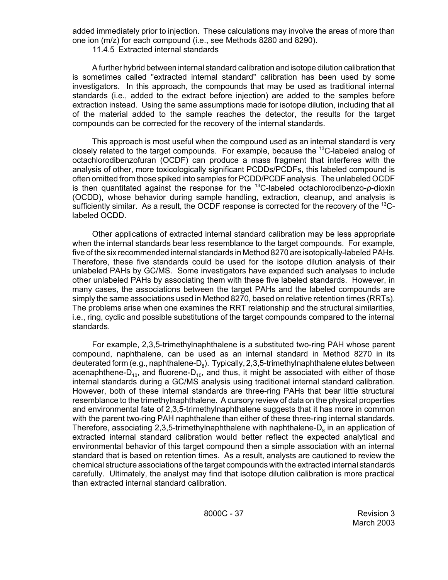added immediately prior to injection. These calculations may involve the areas of more than one ion (m/z) for each compound (i.e., see Methods 8280 and 8290).

11.4.5 Extracted internal standards

A further hybrid between internal standard calibration and isotope dilution calibration that is sometimes called "extracted internal standard" calibration has been used by some investigators. In this approach, the compounds that may be used as traditional internal standards (i.e., added to the extract before injection) are added to the samples before extraction instead. Using the same assumptions made for isotope dilution, including that all of the material added to the sample reaches the detector, the results for the target compounds can be corrected for the recovery of the internal standards.

This approach is most useful when the compound used as an internal standard is very closely related to the target compounds. For example, because the  $^{13}$ C-labeled analog of octachlorodibenzofuran (OCDF) can produce a mass fragment that interferes with the analysis of other, more toxicologically significant PCDDs/PCDFs, this labeled compound is often omitted from those spiked into samples for PCDD/PCDF analysis. The unlabeled OCDF is then quantitated against the response for the <sup>13</sup>C-labeled octachlorodibenzo-p-dioxin (OCDD), whose behavior during sample handling, extraction, cleanup, and analysis is sufficiently similar. As a result, the OCDF response is corrected for the recovery of the <sup>13</sup>Clabeled OCDD.

Other applications of extracted internal standard calibration may be less appropriate when the internal standards bear less resemblance to the target compounds. For example, five of the six recommended internal standards in Method 8270 are isotopically-labeled PAHs. Therefore, these five standards could be used for the isotope dilution analysis of their unlabeled PAHs by GC/MS. Some investigators have expanded such analyses to include other unlabeled PAHs by associating them with these five labeled standards. However, in many cases, the associations between the target PAHs and the labeled compounds are simply the same associations used in Method 8270, based on relative retention times (RRTs). The problems arise when one examines the RRT relationship and the structural similarities, i.e., ring, cyclic and possible substitutions of the target compounds compared to the internal standards.

For example, 2,3,5-trimethylnaphthalene is a substituted two-ring PAH whose parent compound, naphthalene, can be used as an internal standard in Method 8270 in its deuterated form (e.g., naphthalene- $D_8$ ). Typically, 2,3,5-trimethylnaphthalene elutes between acenaphthene- $D_{10}$ , and fluorene- $D_{10}$ , and thus, it might be associated with either of those internal standards during a GC/MS analysis using traditional internal standard calibration. However, both of these internal standards are three-ring PAHs that bear little structural resemblance to the trimethylnaphthalene. A cursory review of data on the physical properties and environmental fate of 2,3,5-trimethylnaphthalene suggests that it has more in common with the parent two-ring PAH naphthalene than either of these three-ring internal standards. Therefore, associating 2,3,5-trimethylnaphthalene with naphthalene- $D<sub>s</sub>$  in an application of extracted internal standard calibration would better reflect the expected analytical and environmental behavior of this target compound then a simple association with an internal standard that is based on retention times. As a result, analysts are cautioned to review the chemical structure associations of the target compounds with the extracted internal standards carefully. Ultimately, the analyst may find that isotope dilution calibration is more practical than extracted internal standard calibration.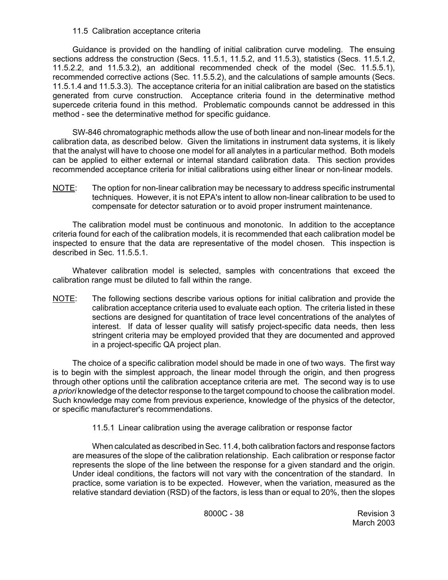## 11.5 Calibration acceptance criteria

Guidance is provided on the handling of initial calibration curve modeling. The ensuing sections address the construction (Secs. 11.5.1, 11.5.2, and 11.5.3), statistics (Secs. 11.5.1.2, 11.5.2.2, and 11.5.3.2), an additional recommended check of the model (Sec. 11.5.5.1), recommended corrective actions (Sec. 11.5.5.2), and the calculations of sample amounts (Secs. 11.5.1.4 and 11.5.3.3). The acceptance criteria for an initial calibration are based on the statistics generated from curve construction. Acceptance criteria found in the determinative method supercede criteria found in this method. Problematic compounds cannot be addressed in this method - see the determinative method for specific quidance.

SW-846 chromatographic methods allow the use of both linear and non-linear models for the calibration data, as described below. Given the limitations in instrument data systems, it is likely that the analyst will have to choose one model for all analytes in a particular method. Both models can be applied to either external or internal standard calibration data. This section provides recommended acceptance criteria for initial calibrations using either linear or non-linear models.

NOTE: The option for non-linear calibration may be necessary to address specific instrumental techniques. However, it is not EPA's intent to allow non-linear calibration to be used to compensate for detector saturation or to avoid proper instrument maintenance.

The calibration model must be continuous and monotonic. In addition to the acceptance criteria found for each of the calibration models, it is recommended that each calibration model be inspected to ensure that the data are representative of the model chosen. This inspection is described in Sec. 11.5.5.1.

Whatever calibration model is selected, samples with concentrations that exceed the calibration range must be diluted to fall within the range.

NOTE: The following sections describe various options for initial calibration and provide the calibration acceptance criteria used to evaluate each option. The criteria listed in these sections are designed for quantitation of trace level concentrations of the analytes of interest. If data of lesser quality will satisfy project-specific data needs, then less stringent criteria may be employed provided that they are documented and approved in a project-specific QA project plan.

The choice of a specific calibration model should be made in one of two ways. The first way is to begin with the simplest approach, the linear model through the origin, and then progress through other options until the calibration acceptance criteria are met. The second way is to use *a priori* knowledge of the detector response to the target compound to choose the calibration model. Such knowledge may come from previous experience, knowledge of the physics of the detector, or specific manufacturer's recommendations.

11.5.1 Linear calibration using the average calibration or response factor

When calculated as described in Sec. 11.4, both calibration factors and response factors are measures of the slope of the calibration relationship. Each calibration or response factor represents the slope of the line between the response for a given standard and the origin. Under ideal conditions, the factors will not vary with the concentration of the standard. In practice, some variation is to be expected. However, when the variation, measured as the relative standard deviation (RSD) of the factors, is less than or equal to 20%, then the slopes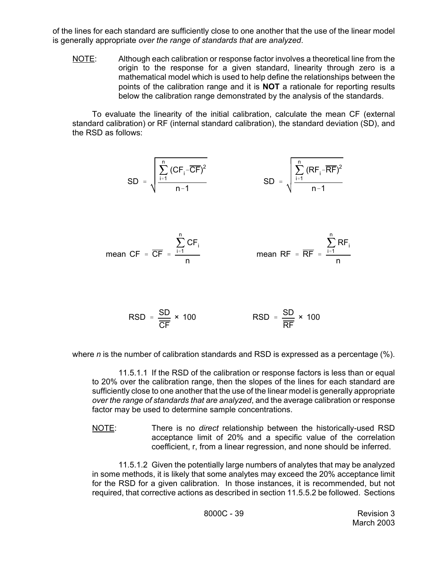of the lines for each standard are sufficiently close to one another that the use of the linear model is generally appropriate *over the range of standards that are analyzed*.

NOTE: Although each calibration or response factor involves a theoretical line from the origin to the response for a given standard, linearity through zero is a mathematical model which is used to help define the relationships between the points of the calibration range and it is **NOT** a rationale for reporting results below the calibration range demonstrated by the analysis of the standards.

To evaluate the linearity of the initial calibration, calculate the mean CF (external standard calibration) or RF (internal standard calibration), the standard deviation (SD), and the RSD as follows:



$$
\text{RSD} = \frac{\text{SD}}{\overline{\text{CF}}} \times 100 \qquad \qquad \text{RSD} = \frac{\text{SD}}{\overline{\text{RF}}} \times 100
$$

where *n* is the number of calibration standards and RSD is expressed as a percentage (%).

11.5.1.1 If the RSD of the calibration or response factors is less than or equal to 20% over the calibration range, then the slopes of the lines for each standard are sufficiently close to one another that the use of the linear model is generally appropriate *over the range of standards that are analyzed*, and the average calibration or response factor may be used to determine sample concentrations.

NOTE: There is no *direct* relationship between the historically-used RSD acceptance limit of 20% and a specific value of the correlation coefficient, r, from a linear regression, and none should be inferred.

11.5.1.2 Given the potentially large numbers of analytes that may be analyzed in some methods, it is likely that some analytes may exceed the 20% acceptance limit for the RSD for a given calibration. In those instances, it is recommended, but not required, that corrective actions as described in section 11.5.5.2 be followed. Sections

8000C - 39 Revision 3 March 2003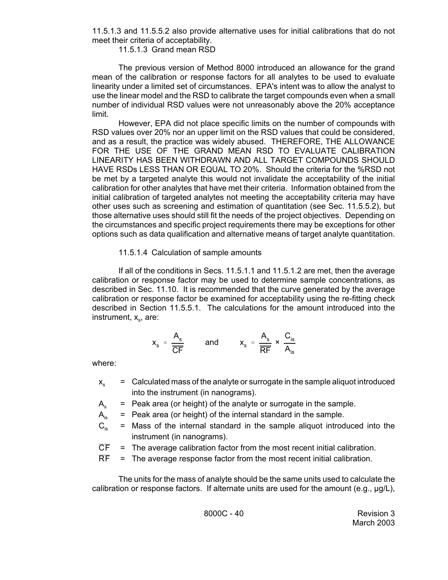11.5.1.3 and 11.5.5.2 also provide alternative uses for initial calibrations that do not meet their criteria of acceptability.

11.5.1.3 Grand mean RSD

The previous version of Method 8000 introduced an allowance for the grand mean of the calibration or response factors for all analytes to be used to evaluate linearity under a limited set of circumstances. EPA's intent was to allow the analyst to use the linear model and the RSD to calibrate the target compounds even when a small number of individual RSD values were not unreasonably above the 20% acceptance limit.

However, EPA did not place specific limits on the number of compounds with RSD values over 20% nor an upper limit on the RSD values that could be considered, and as a result, the practice was widely abused. THEREFORE, THE ALLOWANCE FOR THE USE OF THE GRAND MEAN RSD TO EVALUATE CALIBRATION LINEARITY HAS BEEN WITHDRAWN AND ALL TARGET COMPOUNDS SHOULD HAVE RSDs LESS THAN OR EQUAL TO 20%. Should the criteria for the %RSD not be met by a targeted analyte this would not invalidate the acceptability of the initial calibration for other analytes that have met their criteria. Information obtained from the initial calibration of targeted analytes not meeting the acceptability criteria may have other uses such as screening and estimation of quantitation (see Sec. 11.5.5.2), but those alternative uses should still fit the needs of the project objectives. Depending on the circumstances and specific project requirements there may be exceptions for other options such as data qualification and alternative means of target analyte quantitation.

## 11.5.1.4 Calculation of sample amounts

If all of the conditions in Secs. 11.5.1.1 and 11.5.1.2 are met, then the average calibration or response factor may be used to determine sample concentrations, as described in Sec. 11.10. It is recommended that the curve generated by the average calibration or response factor be examined for acceptability using the re-fitting check described in Section 11.5.5.1. The calculations for the amount introduced into the instrument,  $x_{s}$ , are:

$$
x_s = \frac{A_s}{\overline{CF}}
$$
 and  $x_s = \frac{A_s}{\overline{RF}} \times \frac{C_{is}}{A_{is}}$ 

where:

- $x<sub>s</sub>$  = Calculated mass of the analyte or surrogate in the sample aliquot introduced into the instrument (in nanograms).
- $A<sub>s</sub>$  = Peak area (or height) of the analyte or surrogate in the sample.
- $A_{iS}$  = Peak area (or height) of the internal standard in the sample.
- $C_{is}$  = Mass of the internal standard in the sample aliquot introduced into the instrument (in nanograms).
- $\overline{CF}$  = The average calibration factor from the most recent initial calibration.
- $\overline{RF}$  = The average response factor from the most recent initial calibration.

The units for the mass of analyte should be the same units used to calculate the calibration or response factors. If alternate units are used for the amount (e.g.,  $\mu$ g/L),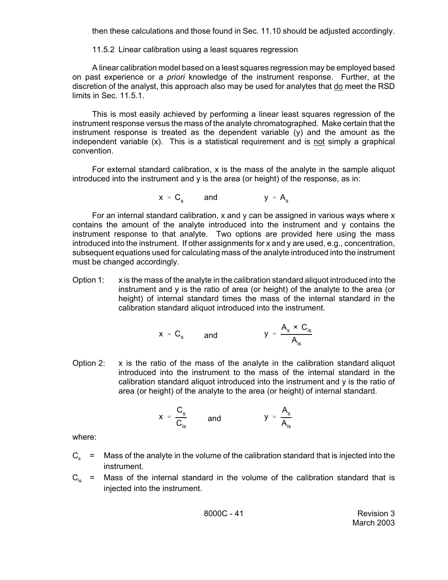then these calculations and those found in Sec. 11.10 should be adjusted accordingly.

11.5.2 Linear calibration using a least squares regression

A linear calibration model based on a least squares regression may be employed based on past experience or *a priori* knowledge of the instrument response. Further, at the discretion of the analyst, this approach also may be used for analytes that do meet the RSD limits in Sec. 11.5.1.

This is most easily achieved by performing a linear least squares regression of the instrument response versus the mass of the analyte chromatographed. Make certain that the instrument response is treated as the dependent variable (y) and the amount as the independent variable (x). This is a statistical requirement and is not simply a graphical convention.

For external standard calibration, x is the mass of the analyte in the sample aliquot introduced into the instrument and y is the area (or height) of the response, as in:

$$
x = C_s \qquad \text{and} \qquad y = A_s
$$

For an internal standard calibration,  $x$  and  $y$  can be assigned in various ways where  $x$ contains the amount of the analyte introduced into the instrument and y contains the instrument response to that analyte. Two options are provided here using the mass introduced into the instrument. If other assignments for x and y are used, e.g., concentration, subsequent equations used for calculating mass of the analyte introduced into the instrument must be changed accordingly.

Option 1:  $\boldsymbol{\mathrm{x}}$  is the mass of the analyte in the calibration standard aliquot introduced into the instrument and y is the ratio of area (or height) of the analyte to the area (or height) of internal standard times the mass of the internal standard in the calibration standard aliquot introduced into the instrument.

$$
x = C_s
$$
 and  $y = \frac{A_s \times C_{is}}{A_{is}}$ 

Option 2:  $\boldsymbol{\mathrm{x}}$  is the ratio of the mass of the analyte in the calibration standard aliquot introduced into the instrument to the mass of the internal standard in the calibration standard aliquot introduced into the instrument and y is the ratio of area (or height) of the analyte to the area (or height) of internal standard.

$$
x = \frac{C_s}{C_{is}} \qquad \text{and} \qquad y = \frac{A_s}{A_{is}}
$$

where:

- $C<sub>s</sub>$  = Mass of the analyte in the volume of the calibration standard that is injected into the instrument.
- $C_{is}$  = Mass of the internal standard in the volume of the calibration standard that is injected into the instrument.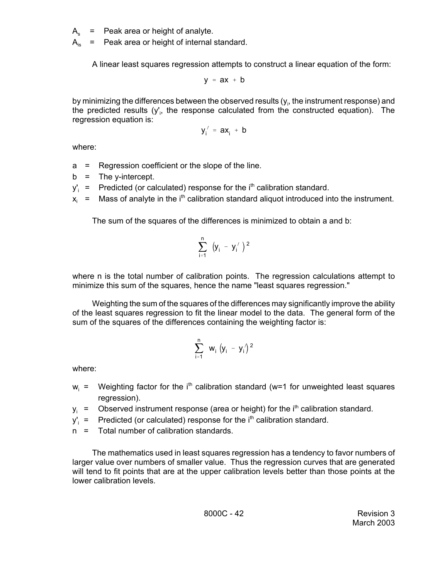$A_s$  = Peak area or height of analyte.

 $A_{iS}$  = Peak area or height of internal standard.

A linear least squares regression attempts to construct a linear equation of the form:

$$
y = ax + b
$$

by minimizing the differences between the observed results (y $_{\rm i}$ , the instrument response) and the predicted results (y'<sub>i</sub>, the response calculated from the constructed equation). The regression equation is:

$$
y_i' = ax_i + b
$$

where:

- a = Regression coefficient or the slope of the line.
- $b =$ The y-intercept.
- $y'_i$  = Predicted (or calculated) response for the  $i<sup>th</sup>$  calibration standard.
- $x_i$  = Mass of analyte in the i<sup>th</sup> calibration standard aliquot introduced into the instrument.

The sum of the squares of the differences is minimized to obtain a and b:

$$
\sum_{i=1}^{n} (y_i - y'_i)^2
$$

where n is the total number of calibration points. The regression calculations attempt to minimize this sum of the squares, hence the name "least squares regression."

Weighting the sum of the squares of the differences may significantly improve the ability of the least squares regression to fit the linear model to the data. The general form of the sum of the squares of the differences containing the weighting factor is:

$$
\sum_{i=1}^{n} w_{i} (y_{i} - y_{i})^{2}
$$

where:

- $w_i$  = Weighting factor for the i<sup>th</sup> calibration standard (w=1 for unweighted least squares regression).
- $y_i$  = Observed instrument response (area or height) for the i<sup>th</sup> calibration standard.
- $y'_i$  = Predicted (or calculated) response for the  $i<sup>th</sup>$  calibration standard.
- n = Total number of calibration standards.

The mathematics used in least squares regression has a tendency to favor numbers of larger value over numbers of smaller value. Thus the regression curves that are generated will tend to fit points that are at the upper calibration levels better than those points at the lower calibration levels.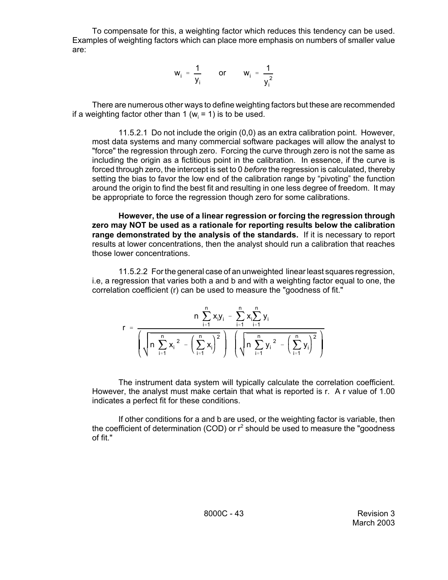To compensate for this, a weighting factor which reduces this tendency can be used. Examples of weighting factors which can place more emphasis on numbers of smaller value are:

$$
w_i = \frac{1}{y_i} \qquad \text{or} \qquad w_i = \frac{1}{y_i^2}
$$

There are numerous other ways to define weighting factors but these are recommended if a weighting factor other than 1 ( $w_i$  = 1) is to be used.

11.5.2.1 Do not include the origin (0,0) as an extra calibration point. However, most data systems and many commercial software packages will allow the analyst to "force" the regression through zero. Forcing the curve through zero is not the same as including the origin as a fictitious point in the calibration. In essence, if the curve is forced through zero, the intercept is set to 0 *before* the regression is calculated, thereby setting the bias to favor the low end of the calibration range by "pivoting" the function around the origin to find the best fit and resulting in one less degree of freedom. It may be appropriate to force the regression though zero for some calibrations.

**However, the use of a linear regression or forcing the regression through zero may NOT be used as a rationale for reporting results below the calibration range demonstrated by the analysis of the standards.** If it is necessary to report results at lower concentrations, then the analyst should run a calibration that reaches those lower concentrations.

11.5.2.2 For the general case of an unweighted linear least squares regression, i.e, a regression that varies both a and b and with a weighting factor equal to one, the correlation coefficient (r) can be used to measure the "goodness of fit."

$$
r \; = \; \frac{n \, \sum\limits_{i=1}^n x_i y_i \; - \; \sum\limits_{i=1}^n x_i \sum\limits_{i=1}^n y_i}{\left(\sqrt{n \, \sum\limits_{i=1}^n x_i\,^2 \; - \left(\sum\limits_{i=1}^n x_i\right)^2}\right) \; \left(\sqrt{n \, \sum\limits_{i=1}^n y_i\,^2 \; - \left(\sum\limits_{i=1}^n y_i\right)^2}\,\right)}
$$

The instrument data system will typically calculate the correlation coefficient. However, the analyst must make certain that what is reported is r. A r value of 1.00 indicates a perfect fit for these conditions.

If other conditions for a and b are used, or the weighting factor is variable, then the coefficient of determination (COD) or  $r^2$  should be used to measure the "goodness of fit."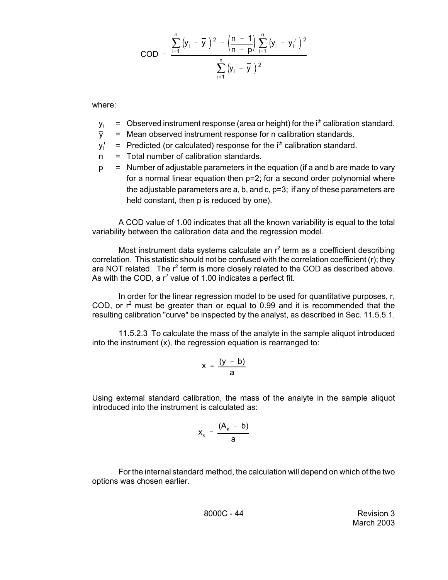$$
COD = \frac{\sum_{i=1}^{n} (y_i - \overline{y})^2 - (\frac{n-1}{n-p}) \sum_{i=1}^{n} (y_i - y'_i)^2}{\sum_{i=1}^{n} (y_i - \overline{y})^2}
$$

where:

- $y_i$  = Observed instrument response (area or height) for the i<sup>th</sup> calibration standard.<br> $\overline{y}$  = Mean observed instrument response for n calibration standards.
- = Mean observed instrument response for n calibration standards.
- yi  $=$  Predicted (or calculated) response for the  $i<sup>th</sup>$  calibration standard.
- n = Total number of calibration standards.
- $p =$  Number of adjustable parameters in the equation (if a and b are made to vary for a normal linear equation then p=2; for a second order polynomial where the adjustable parameters are a, b, and c, p=3; if any of these parameters are held constant, then p is reduced by one).

A COD value of 1.00 indicates that all the known variability is equal to the total variability between the calibration data and the regression model.

Most instrument data systems calculate an  $r^2$  term as a coefficient describing correlation. This statistic should not be confused with the correlation coefficient (r); they are NOT related. The  $r^2$  term is more closely related to the COD as described above. As with the COD, a  $r^2$  value of 1.00 indicates a perfect fit.

In order for the linear regression model to be used for quantitative purposes, r, COD, or  $r^2$  must be greater than or equal to 0.99 and it is recommended that the resulting calibration "curve" be inspected by the analyst, as described in Sec. 11.5.5.1.

11.5.2.3 To calculate the mass of the analyte in the sample aliquot introduced into the instrument (x), the regression equation is rearranged to:

$$
x = \frac{(y - b)}{a}
$$

Using external standard calibration, the mass of the analyte in the sample aliquot introduced into the instrument is calculated as:

$$
x_s = \frac{(A_s - b)}{a}
$$

For the internal standard method, the calculation will depend on which of the two options was chosen earlier.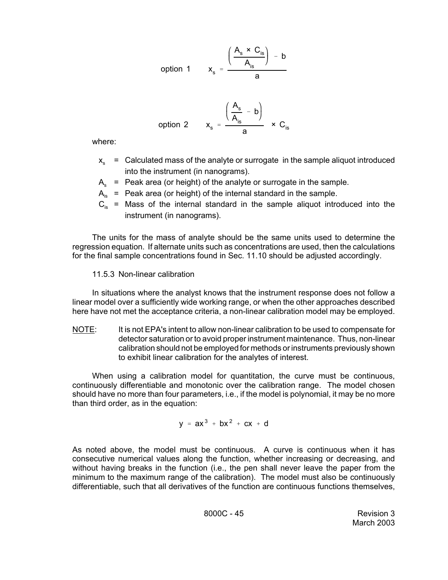option 1 
$$
x_s = \frac{\left(\frac{A_s \times C_{is}}{A_{is}}\right) - b}{a}
$$

option 2 
$$
x_s = \frac{\left(\frac{A_s}{A_{is}} - b\right)}{a} \times C_{is}
$$

where:

- $x_{s}$  = Calculated mass of the analyte or surrogate in the sample aliquot introduced into the instrument (in nanograms).
- $A_{s}$  = Peak area (or height) of the analyte or surrogate in the sample.
- $A_{iS}$  = Peak area (or height) of the internal standard in the sample.
- $C_{is}$  = Mass of the internal standard in the sample aliquot introduced into the instrument (in nanograms).

The units for the mass of analyte should be the same units used to determine the regression equation. If alternate units such as concentrations are used, then the calculations for the final sample concentrations found in Sec. 11.10 should be adjusted accordingly.

11.5.3 Non-linear calibration

In situations where the analyst knows that the instrument response does not follow a linear model over a sufficiently wide working range, or when the other approaches described here have not met the acceptance criteria, a non-linear calibration model may be employed.

NOTE: It is not EPA's intent to allow non-linear calibration to be used to compensate for detector saturation or to avoid proper instrument maintenance. Thus, non-linear calibration should not be employed for methods or instruments previously shown to exhibit linear calibration for the analytes of interest.

When using a calibration model for quantitation, the curve must be continuous, continuously differentiable and monotonic over the calibration range. The model chosen should have no more than four parameters, i.e., if the model is polynomial, it may be no more than third order, as in the equation:

$$
y = ax^3 + bx^2 + cx + d
$$

As noted above, the model must be continuous. A curve is continuous when it has consecutive numerical values along the function, whether increasing or decreasing, and without having breaks in the function (i.e., the pen shall never leave the paper from the minimum to the maximum range of the calibration). The model must also be continuously differentiable, such that all derivatives of the function are continuous functions themselves,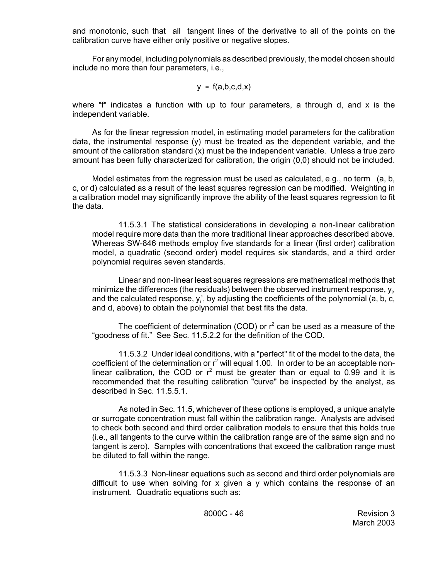and monotonic, such that all tangent lines of the derivative to all of the points on the calibration curve have either only positive or negative slopes.

For any model, including polynomials as described previously, the model chosen should include no more than four parameters, i.e.,

$$
y = f(a,b,c,d,x)
$$

where "f" indicates a function with up to four parameters, a through d, and x is the independent variable.

As for the linear regression model, in estimating model parameters for the calibration data, the instrumental response  $(y)$  must be treated as the dependent variable, and the amount of the calibration standard (x) must be the independent variable. Unless a true zero amount has been fully characterized for calibration, the origin (0,0) should not be included.

Model estimates from the regression must be used as calculated, e.g., no term (a, b, c, or d) calculated as a result of the least squares regression can be modified. Weighting in a calibration model may significantly improve the ability of the least squares regression to fit the data.

11.5.3.1 The statistical considerations in developing a non-linear calibration model require more data than the more traditional linear approaches described above. Whereas SW-846 methods employ five standards for a linear (first order) calibration model, a quadratic (second order) model requires six standards, and a third order polynomial requires seven standards.

Linear and non-linear least squares regressions are mathematical methods that minimize the differences (the residuals) between the observed instrument response,  $y_i$ , and the calculated response,  $y_i'$ , by adjusting the coefficients of the polynomial (a, b, c, and d, above) to obtain the polynomial that best fits the data.

The coefficient of determination (COD) or  $r^2$  can be used as a measure of the "goodness of fit." See Sec. 11.5.2.2 for the definition of the COD.

11.5.3.2 Under ideal conditions, with a "perfect" fit of the model to the data, the coefficient of the determination or  $r^2$  will equal 1.00. In order to be an acceptable nonlinear calibration, the COD or  $r^2$  must be greater than or equal to 0.99 and it is recommended that the resulting calibration "curve" be inspected by the analyst, as described in Sec. 11.5.5.1.

As noted in Sec. 11.5, whichever of these options is employed, a unique analyte or surrogate concentration must fall within the calibration range. Analysts are advised to check both second and third order calibration models to ensure that this holds true (i.e., all tangents to the curve within the calibration range are of the same sign and no tangent is zero). Samples with concentrations that exceed the calibration range must be diluted to fall within the range.

11.5.3.3 Non-linear equations such as second and third order polynomials are difficult to use when solving for x given a y which contains the response of an instrument. Quadratic equations such as: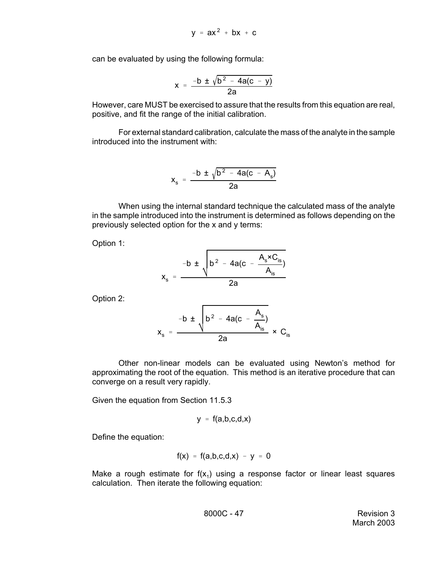$$
y = ax^2 + bx + c
$$

can be evaluated by using the following formula:

$$
x = \frac{-b \pm \sqrt{b^2 - 4a(c - y)}}{2a}
$$

However, care MUST be exercised to assure that the results from this equation are real, positive, and fit the range of the initial calibration.

For external standard calibration, calculate the mass of the analyte in the sample introduced into the instrument with:

$$
x_s = \frac{-b \pm \sqrt{b^2 - 4a(c - A_s)}}{2a}
$$

When using the internal standard technique the calculated mass of the analyte in the sample introduced into the instrument is determined as follows depending on the previously selected option for the x and y terms:

Option 1:

$$
x_s = \frac{-b \pm \sqrt{b^2 - 4a(c - \frac{A_s \times C_{is}}{A_{is}})}}{2a}
$$

Option 2:

$$
x_s = \frac{-b \pm \sqrt{b^2 - 4a(c - \frac{A_s}{A_{is}})}}{2a} \times C_{is}
$$

Other non-linear models can be evaluated using Newton's method for approximating the root of the equation. This method is an iterative procedure that can converge on a result very rapidly.

Given the equation from Section 11.5.3

$$
y = f(a,b,c,d,x)
$$

Define the equation:

$$
f(x) = f(a,b,c,d,x) - y = 0
$$

Make a rough estimate for  $f(x_1)$  using a response factor or linear least squares calculation. Then iterate the following equation:

8000C - 47 Revision 3 March 2003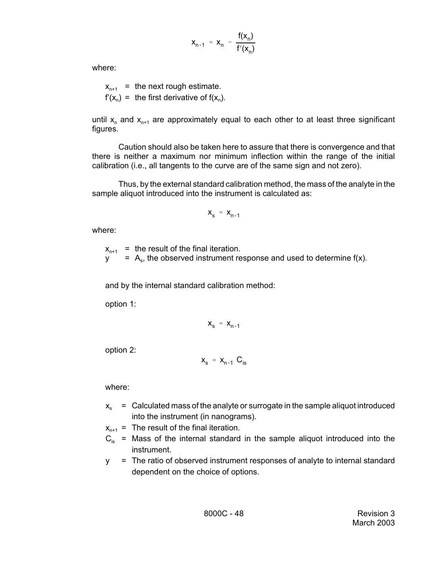$$
x_{n+1} = x_n - \frac{f(x_n)}{f'(x_n)}
$$

where:

 $x_{n+1}$  = the next rough estimate.  $f'(x_n) =$  the first derivative of  $f(x_n)$ .

until  $x_n$  and  $x_{n+1}$  are approximately equal to each other to at least three significant figures.

Caution should also be taken here to assure that there is convergence and that there is neither a maximum nor minimum inflection within the range of the initial calibration (i.e., all tangents to the curve are of the same sign and not zero).

Thus, by the external standard calibration method, the mass of the analyte in the sample aliquot introduced into the instrument is calculated as:

$$
\mathbf{X}_{s} = \mathbf{X}_{n+1}
$$

where:

 $x_{n+1}$  = the result of the final iteration.  $y = A_s$ , the observed instrument response and used to determine f(x).

and by the internal standard calibration method:

option 1:

$$
\mathbf{x}_{s} = \mathbf{x}_{n+1}
$$

option 2:

$$
\mathbf{x}_{s} = \mathbf{x}_{n+1} \ \mathbf{C}_{is}
$$

where:

 $x_{s}$  = Calculated mass of the analyte or surrogate in the sample aliquot introduced into the instrument (in nanograms).

 $x_{n+1}$  = The result of the final iteration.

- $C_{is}$  = Mass of the internal standard in the sample aliquot introduced into the instrument.
- y = The ratio of observed instrument responses of analyte to internal standard dependent on the choice of options.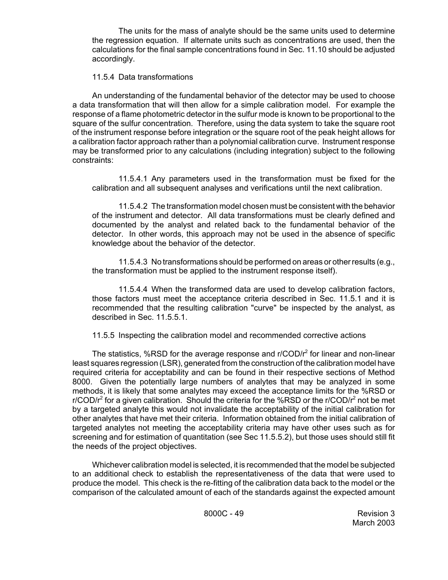The units for the mass of analyte should be the same units used to determine the regression equation. If alternate units such as concentrations are used, then the calculations for the final sample concentrations found in Sec. 11.10 should be adjusted accordingly.

## 11.5.4 Data transformations

An understanding of the fundamental behavior of the detector may be used to choose a data transformation that will then allow for a simple calibration model. For example the response of a flame photometric detector in the sulfur mode is known to be proportional to the square of the sulfur concentration. Therefore, using the data system to take the square root of the instrument response before integration or the square root of the peak height allows for a calibration factor approach rather than a polynomial calibration curve. Instrument response may be transformed prior to any calculations (including integration) subject to the following constraints:

11.5.4.1 Any parameters used in the transformation must be fixed for the calibration and all subsequent analyses and verifications until the next calibration.

11.5.4.2 The transformation model chosen must be consistent with the behavior of the instrument and detector. All data transformations must be clearly defined and documented by the analyst and related back to the fundamental behavior of the detector. In other words, this approach may not be used in the absence of specific knowledge about the behavior of the detector.

11.5.4.3 No transformations should be performed on areas or other results (e.g., the transformation must be applied to the instrument response itself).

11.5.4.4 When the transformed data are used to develop calibration factors, those factors must meet the acceptance criteria described in Sec. 11.5.1 and it is recommended that the resulting calibration "curve" be inspected by the analyst, as described in Sec. 11.5.5.1.

11.5.5 Inspecting the calibration model and recommended corrective actions

The statistics, %RSD for the average response and  $r/COD/r^2$  for linear and non-linear least squares regression (LSR), generated from the construction of the calibration model have required criteria for acceptability and can be found in their respective sections of Method 8000. Given the potentially large numbers of analytes that may be analyzed in some methods, it is likely that some analytes may exceed the acceptance limits for the %RSD or r/COD/ $r^2$  for a given calibration. Should the criteria for the %RSD or the r/COD/ $r^2$  not be met by a targeted analyte this would not invalidate the acceptability of the initial calibration for other analytes that have met their criteria. Information obtained from the initial calibration of targeted analytes not meeting the acceptability criteria may have other uses such as for screening and for estimation of quantitation (see Sec 11.5.5.2), but those uses should still fit the needs of the project objectives.

Whichever calibration model is selected, it is recommended that the model be subjected to an additional check to establish the representativeness of the data that were used to produce the model. This check is the re-fitting of the calibration data back to the model or the comparison of the calculated amount of each of the standards against the expected amount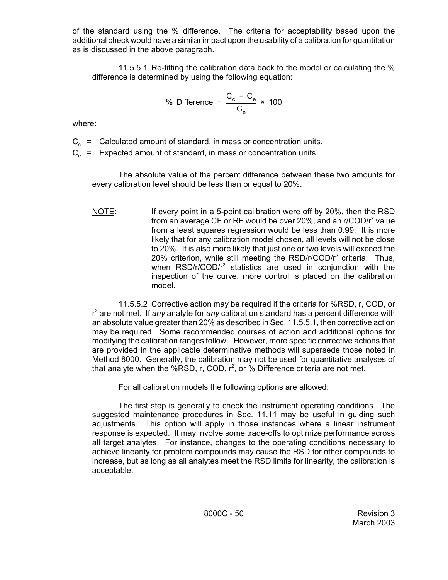of the standard using the % difference. The criteria for acceptability based upon the additional check would have a similar impact upon the usability of a calibration for quantitation as is discussed in the above paragraph.

11.5.5.1 Re-fitting the calibration data back to the model or calculating the % difference is determined by using the following equation:

% Difference = 
$$
\frac{C_c - C_e}{C_e} \times 100
$$

where:

 $C_c$  = Calculated amount of standard, in mass or concentration units.

 $C_e$  = Expected amount of standard, in mass or concentration units.

The absolute value of the percent difference between these two amounts for every calibration level should be less than or equal to 20%.

NOTE: If every point in a 5-point calibration were off by 20%, then the RSD from an average CF or RF would be over 20%, and an r/COD/r<sup>2</sup> value from a least squares regression would be less than 0.99. It is more likely that for any calibration model chosen, all levels will not be close to 20%. It is also more likely that just one or two levels will exceed the 20% criterion, while still meeting the RSD/r/COD/ $r^2$  criteria. Thus, when  $RSD/r/COD/r^2$  statistics are used in conjunction with the inspection of the curve, more control is placed on the calibration model.

11.5.5.2 Corrective action may be required if the criteria for %RSD, r, COD, or r 2 are not met. If *any* analyte for *any* calibration standard has a percent difference with an absolute value greater than 20% as described in Sec. 11.5.5.1, then corrective action may be required. Some recommended courses of action and additional options for modifying the calibration ranges follow. However, more specific corrective actions that are provided in the applicable determinative methods will supersede those noted in Method 8000. Generally, the calibration may not be used for quantitative analyses of that analyte when the %RSD, r, COD,  $r^2$ , or % Difference criteria are not met.

For all calibration models the following options are allowed:

The first step is generally to check the instrument operating conditions. The suggested maintenance procedures in Sec. 11.11 may be useful in guiding such adjustments. This option will apply in those instances where a linear instrument response is expected. It may involve some trade-offs to optimize performance across all target analytes. For instance, changes to the operating conditions necessary to achieve linearity for problem compounds may cause the RSD for other compounds to increase, but as long as all analytes meet the RSD limits for linearity, the calibration is acceptable.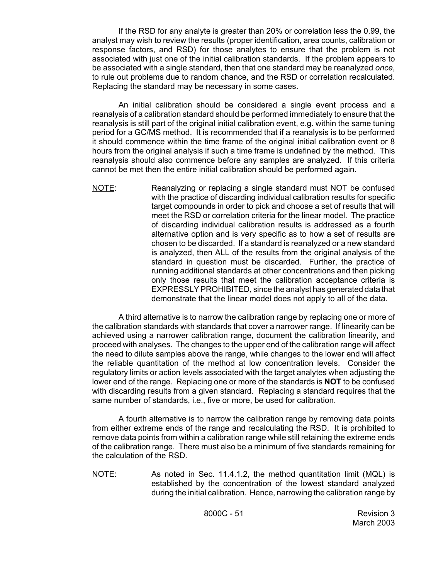If the RSD for any analyte is greater than 20% or correlation less the 0.99, the analyst may wish to review the results (proper identification, area counts, calibration or response factors, and RSD) for those analytes to ensure that the problem is not associated with just one of the initial calibration standards. If the problem appears to be associated with a single standard, then that one standard may be reanalyzed *once*, to rule out problems due to random chance, and the RSD or correlation recalculated. Replacing the standard may be necessary in some cases.

An initial calibration should be considered a single event process and a reanalysis of a calibration standard should be performed immediately to ensure that the reanalysis is still part of the original initial calibration event, e.g. within the same tuning period for a GC/MS method. It is recommended that if a reanalysis is to be performed it should commence within the time frame of the original initial calibration event or 8 hours from the original analysis if such a time frame is undefined by the method. This reanalysis should also commence before any samples are analyzed. If this criteria cannot be met then the entire initial calibration should be performed again.

NOTE: Reanalyzing or replacing a single standard must NOT be confused with the practice of discarding individual calibration results for specific target compounds in order to pick and choose a set of results that will meet the RSD or correlation criteria for the linear model. The practice of discarding individual calibration results is addressed as a fourth alternative option and is very specific as to how a set of results are chosen to be discarded. If a standard is reanalyzed or a new standard is analyzed, then ALL of the results from the original analysis of the standard in question must be discarded. Further, the practice of running additional standards at other concentrations and then picking only those results that meet the calibration acceptance criteria is EXPRESSLY PROHIBITED, since the analyst has generated data that demonstrate that the linear model does not apply to all of the data.

A third alternative is to narrow the calibration range by replacing one or more of the calibration standards with standards that cover a narrower range. If linearity can be achieved using a narrower calibration range, document the calibration linearity, and proceed with analyses. The changes to the upper end of the calibration range will affect the need to dilute samples above the range, while changes to the lower end will affect the reliable quantitation of the method at low concentration levels. Consider the regulatory limits or action levels associated with the target analytes when adjusting the lower end of the range. Replacing one or more of the standards is **NOT** to be confused with discarding results from a given standard. Replacing a standard requires that the same number of standards, i.e., five or more, be used for calibration.

A fourth alternative is to narrow the calibration range by removing data points from either extreme ends of the range and recalculating the RSD. It is prohibited to remove data points from within a calibration range while still retaining the extreme ends of the calibration range. There must also be a minimum of five standards remaining for the calculation of the RSD.

NOTE: As noted in Sec. 11.4.1.2, the method quantitation limit (MQL) is established by the concentration of the lowest standard analyzed during the initial calibration. Hence, narrowing the calibration range by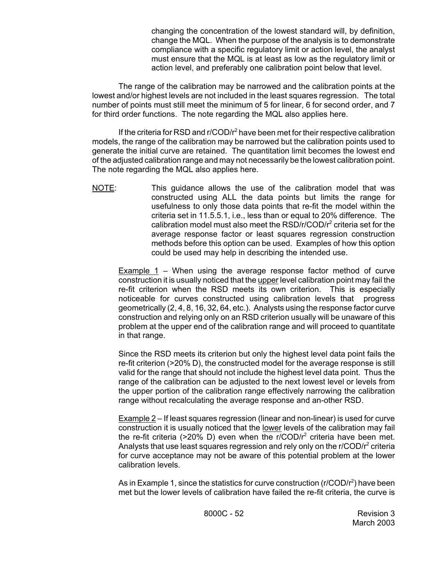changing the concentration of the lowest standard will, by definition, change the MQL. When the purpose of the analysis is to demonstrate compliance with a specific regulatory limit or action level, the analyst must ensure that the MQL is at least as low as the regulatory limit or action level, and preferably one calibration point below that level.

The range of the calibration may be narrowed and the calibration points at the lowest and/or highest levels are not included in the least squares regression. The total number of points must still meet the minimum of 5 for linear, 6 for second order, and 7 for third order functions. The note regarding the MQL also applies here.

If the criteria for RSD and  $r/COD/r<sup>2</sup>$  have been met for their respective calibration models, the range of the calibration may be narrowed but the calibration points used to generate the initial curve are retained. The quantitation limit becomes the lowest end of the adjusted calibration range and may not necessarily be the lowest calibration point. The note regarding the MQL also applies here.

NOTE: This guidance allows the use of the calibration model that was constructed using ALL the data points but limits the range for usefulness to only those data points that re-fit the model within the criteria set in 11.5.5.1, i.e., less than or equal to 20% difference. The calibration model must also meet the RSD/r/COD/r<sup>2</sup> criteria set for the average response factor or least squares regression construction methods before this option can be used. Examples of how this option could be used may help in describing the intended use.

Example 1 – When using the average response factor method of curve construction it is usually noticed that the upper level calibration point may fail the re-fit criterion when the RSD meets its own criterion. This is especially noticeable for curves constructed using calibration levels that progress geometrically (2, 4, 8, 16, 32, 64, etc.). Analysts using the response factor curve construction and relying only on an RSD criterion usually will be unaware of this problem at the upper end of the calibration range and will proceed to quantitate in that range.

Since the RSD meets its criterion but only the highest level data point fails the re-fit criterion (>20% D), the constructed model for the average response is still valid for the range that should not include the highest level data point. Thus the range of the calibration can be adjusted to the next lowest level or levels from the upper portion of the calibration range effectively narrowing the calibration range without recalculating the average response and an-other RSD.

Example 2 – If least squares regression (linear and non-linear) is used for curve construction it is usually noticed that the lower levels of the calibration may fail the re-fit criteria (>20% D) even when the r/COD/ $r^2$  criteria have been met. Analysts that use least squares regression and rely only on the r/COD/ $r^2$  criteria for curve acceptance may not be aware of this potential problem at the lower calibration levels.

As in Example 1, since the statistics for curve construction (r/COD/r<sup>2</sup>) have been met but the lower levels of calibration have failed the re-fit criteria, the curve is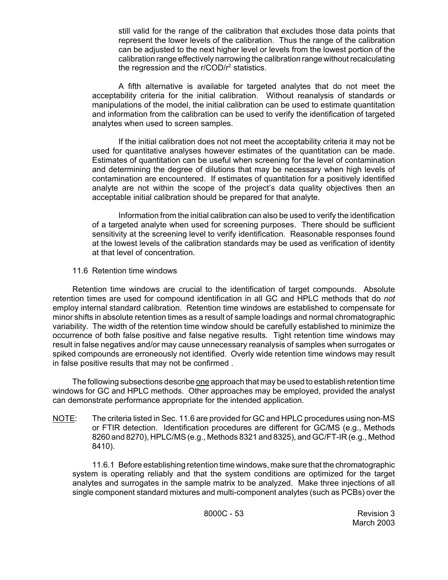still valid for the range of the calibration that excludes those data points that represent the lower levels of the calibration. Thus the range of the calibration can be adjusted to the next higher level or levels from the lowest portion of the calibration range effectively narrowing the calibration range without recalculating the regression and the  $r$ /COD/ $r^2$  statistics.

A fifth alternative is available for targeted analytes that do not meet the acceptability criteria for the initial calibration. Without reanalysis of standards or manipulations of the model, the initial calibration can be used to estimate quantitation and information from the calibration can be used to verify the identification of targeted analytes when used to screen samples.

If the initial calibration does not not meet the acceptability criteria it may not be used for quantitative analyses however estimates of the quantitation can be made. Estimates of quantitation can be useful when screening for the level of contamination and determining the degree of dilutions that may be necessary when high levels of contamination are encountered. If estimates of quantitation for a positively identified analyte are not within the scope of the project's data quality objectives then an acceptable initial calibration should be prepared for that analyte.

Information from the initial calibration can also be used to verify the identification of a targeted analyte when used for screening purposes. There should be sufficient sensitivity at the screening level to verify identification. Reasonable responses found at the lowest levels of the calibration standards may be used as verification of identity at that level of concentration.

## 11.6 Retention time windows

Retention time windows are crucial to the identification of target compounds. Absolute retention times are used for compound identification in all GC and HPLC methods that do *not* employ internal standard calibration. Retention time windows are established to compensate for minor shifts in absolute retention times as a result of sample loadings and normal chromatographic variability. The width of the retention time window should be carefully established to minimize the occurrence of both false positive and false negative results. Tight retention time windows may result in false negatives and/or may cause unnecessary reanalysis of samples when surrogates or spiked compounds are erroneously not identified. Overly wide retention time windows may result in false positive results that may not be confirmed .

The following subsections describe <u>one</u> approach that may be used to establish retention time windows for GC and HPLC methods. Other approaches may be employed, provided the analyst can demonstrate performance appropriate for the intended application.

NOTE: The criteria listed in Sec. 11.6 are provided for GC and HPLC procedures using non-MS or FTIR detection. Identification procedures are different for GC/MS (e.g., Methods 8260 and 8270), HPLC/MS (e.g., Methods 8321 and 8325), and GC/FT-IR (e.g., Method 8410).

11.6.1 Before establishing retention time windows, make sure that the chromatographic system is operating reliably and that the system conditions are optimized for the target analytes and surrogates in the sample matrix to be analyzed. Make three injections of all single component standard mixtures and multi-component analytes (such as PCBs) over the

8000C - 53 Revision 3 March 2003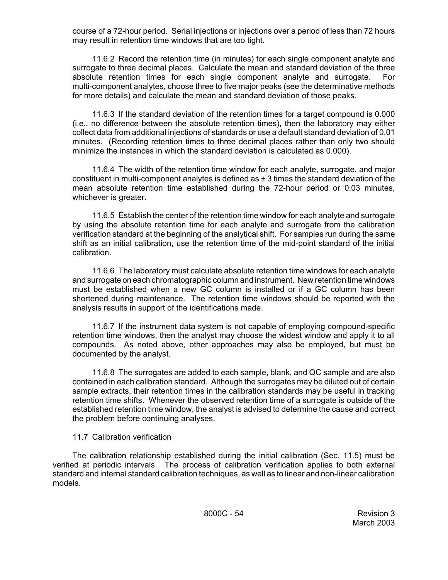course of a 72-hour period. Serial injections or injections over a period of less than 72 hours may result in retention time windows that are too tight.

11.6.2 Record the retention time (in minutes) for each single component analyte and surrogate to three decimal places. Calculate the mean and standard deviation of the three absolute retention times for each single component analyte and surrogate. For multi-component analytes, choose three to five major peaks (see the determinative methods for more details) and calculate the mean and standard deviation of those peaks.

11.6.3 If the standard deviation of the retention times for a target compound is 0.000 (i.e., no difference between the absolute retention times), then the laboratory may either collect data from additional injections of standards or use a default standard deviation of 0.01 minutes. (Recording retention times to three decimal places rather than only two should minimize the instances in which the standard deviation is calculated as 0.000).

11.6.4 The width of the retention time window for each analyte, surrogate, and major constituent in multi-component analytes is defined as  $\pm$  3 times the standard deviation of the mean absolute retention time established during the 72-hour period or 0.03 minutes, whichever is greater.

11.6.5 Establish the center of the retention time window for each analyte and surrogate by using the absolute retention time for each analyte and surrogate from the calibration verification standard at the beginning of the analytical shift. For samples run during the same shift as an initial calibration, use the retention time of the mid-point standard of the initial calibration.

11.6.6 The laboratory must calculate absolute retention time windows for each analyte and surrogate on each chromatographic column and instrument. New retention time windows must be established when a new GC column is installed or if a GC column has been shortened during maintenance. The retention time windows should be reported with the analysis results in support of the identifications made.

11.6.7 If the instrument data system is not capable of employing compound-specific retention time windows, then the analyst may choose the widest window and apply it to all compounds. As noted above, other approaches may also be employed, but must be documented by the analyst.

11.6.8 The surrogates are added to each sample, blank, and QC sample and are also contained in each calibration standard. Although the surrogates may be diluted out of certain sample extracts, their retention times in the calibration standards may be useful in tracking retention time shifts. Whenever the observed retention time of a surrogate is outside of the established retention time window, the analyst is advised to determine the cause and correct the problem before continuing analyses.

## 11.7 Calibration verification

The calibration relationship established during the initial calibration (Sec. 11.5) must be verified at periodic intervals. The process of calibration verification applies to both external standard and internal standard calibration techniques, as well as to linear and non-linear calibration models.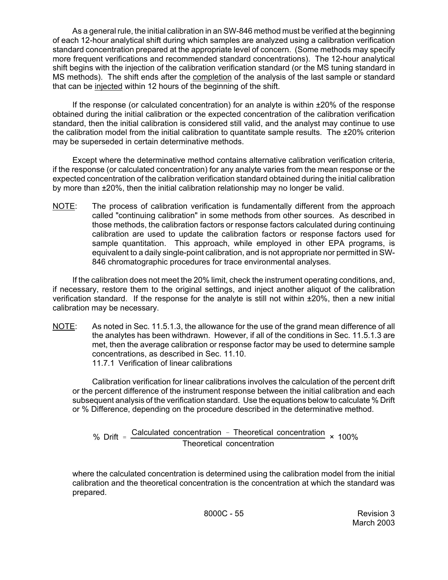As a general rule, the initial calibration in an SW-846 method must be verified at the beginning of each 12-hour analytical shift during which samples are analyzed using a calibration verification standard concentration prepared at the appropriate level of concern. (Some methods may specify more frequent verifications and recommended standard concentrations). The 12-hour analytical shift begins with the injection of the calibration verification standard (or the MS tuning standard in MS methods). The shift ends after the completion of the analysis of the last sample or standard that can be injected within 12 hours of the beginning of the shift.

If the response (or calculated concentration) for an analyte is within  $\pm 20\%$  of the response obtained during the initial calibration or the expected concentration of the calibration verification standard, then the initial calibration is considered still valid, and the analyst may continue to use the calibration model from the initial calibration to quantitate sample results. The ±20% criterion may be superseded in certain determinative methods.

Except where the determinative method contains alternative calibration verification criteria, if the response (or calculated concentration) for any analyte varies from the mean response or the expected concentration of the calibration verification standard obtained during the initial calibration by more than ±20%, then the initial calibration relationship may no longer be valid.

NOTE: The process of calibration verification is fundamentally different from the approach called "continuing calibration" in some methods from other sources. As described in those methods, the calibration factors or response factors calculated during continuing calibration are used to update the calibration factors or response factors used for sample quantitation. This approach, while employed in other EPA programs, is equivalent to a daily single-point calibration, and is not appropriate nor permitted in SW-846 chromatographic procedures for trace environmental analyses.

If the calibration does not meet the 20% limit, check the instrument operating conditions, and, if necessary, restore them to the original settings, and inject another aliquot of the calibration verification standard. If the response for the analyte is still not within ±20%, then a new initial calibration may be necessary.

NOTE: As noted in Sec. 11.5.1.3, the allowance for the use of the grand mean difference of all the analytes has been withdrawn. However, if all of the conditions in Sec. 11.5.1.3 are met, then the average calibration or response factor may be used to determine sample concentrations, as described in Sec. 11.10. 11.7.1 Verification of linear calibrations

Calibration verification for linear calibrations involves the calculation of the percent drift or the percent difference of the instrument response between the initial calibration and each subsequent analysis of the verification standard. Use the equations below to calculate % Drift or % Difference, depending on the procedure described in the determinative method.

% Drift = Calculated concentration - Theoretical concentration Theoretical concentration × 100%

where the calculated concentration is determined using the calibration model from the initial calibration and the theoretical concentration is the concentration at which the standard was prepared.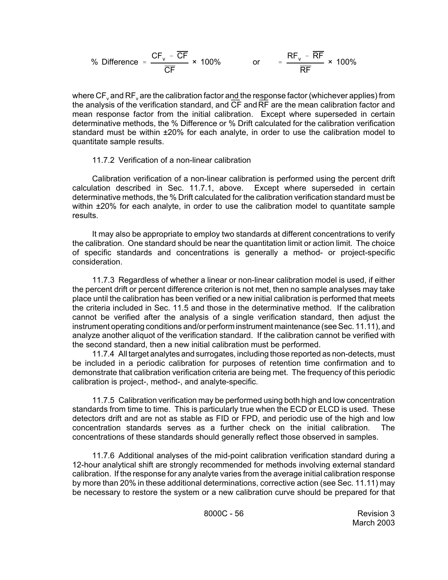% Difference = 
$$
\frac{\text{CF}_v - \overline{\text{CF}}}{\overline{\text{CF}}} \times 100\%
$$
 or =  $\frac{\text{RF}_v - \overline{\text{RF}}}{\overline{\text{RF}}} \times 100\%$ 

where  $CF_{v}$  and  $RF_{v}$  are the calibration factor and the response factor (whichever applies) from the analysis of the verification standard, and  $\overline{\text{CF}}$  and  $\overline{\text{RF}}$  are the mean calibration factor and mean response factor from the initial calibration. Except where superseded in certain determinative methods, the % Difference or % Drift calculated for the calibration verification standard must be within  $\pm 20\%$  for each analyte, in order to use the calibration model to quantitate sample results.

## 11.7.2 Verification of a non-linear calibration

Calibration verification of a non-linear calibration is performed using the percent drift calculation described in Sec. 11.7.1, above. Except where superseded in certain determinative methods, the % Drift calculated for the calibration verification standard must be within  $\pm 20\%$  for each analyte, in order to use the calibration model to quantitate sample results.

It may also be appropriate to employ two standards at different concentrations to verify the calibration. One standard should be near the quantitation limit or action limit. The choice of specific standards and concentrations is generally a method- or project-specific consideration.

11.7.3 Regardless of whether a linear or non-linear calibration model is used, if either the percent drift or percent difference criterion is not met, then no sample analyses may take place until the calibration has been verified or a new initial calibration is performed that meets the criteria included in Sec. 11.5 and those in the determinative method. If the calibration cannot be verified after the analysis of a single verification standard, then adjust the instrument operating conditions and/or perform instrument maintenance (see Sec. 11.11), and analyze another aliquot of the verification standard. If the calibration cannot be verified with the second standard, then a new initial calibration must be performed.

11.7.4 All target analytes and surrogates, including those reported as non-detects, must be included in a periodic calibration for purposes of retention time confirmation and to demonstrate that calibration verification criteria are being met. The frequency of this periodic calibration is project-, method-, and analyte-specific.

11.7.5 Calibration verification may be performed using both high and low concentration standards from time to time. This is particularly true when the ECD or ELCD is used. These detectors drift and are not as stable as FID or FPD, and periodic use of the high and low concentration standards serves as a further check on the initial calibration. The concentrations of these standards should generally reflect those observed in samples.

11.7.6 Additional analyses of the mid-point calibration verification standard during a 12-hour analytical shift are strongly recommended for methods involving external standard calibration. If the response for any analyte varies from the average initial calibration response by more than 20% in these additional determinations, corrective action (see Sec. 11.11) may be necessary to restore the system or a new calibration curve should be prepared for that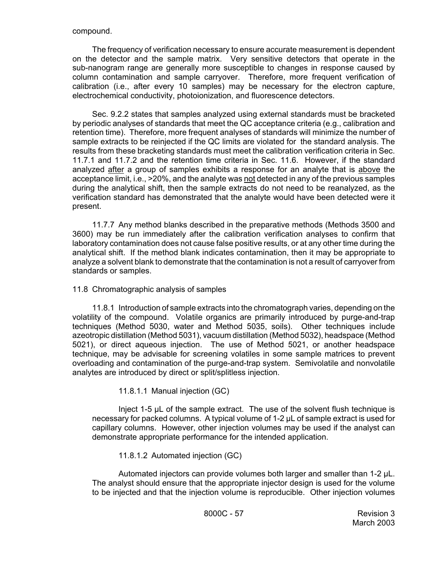The frequency of verification necessary to ensure accurate measurement is dependent on the detector and the sample matrix. Very sensitive detectors that operate in the sub-nanogram range are generally more susceptible to changes in response caused by column contamination and sample carryover. Therefore, more frequent verification of calibration (i.e., after every 10 samples) may be necessary for the electron capture, electrochemical conductivity, photoionization, and fluorescence detectors.

Sec. 9.2.2 states that samples analyzed using external standards must be bracketed by periodic analyses of standards that meet the QC acceptance criteria (e.g., calibration and retention time). Therefore, more frequent analyses of standards will minimize the number of sample extracts to be reinjected if the QC limits are violated for the standard analysis. The results from these bracketing standards must meet the calibration verification criteria in Sec. 11.7.1 and 11.7.2 and the retention time criteria in Sec. 11.6. However, if the standard analyzed after a group of samples exhibits a response for an analyte that is above the acceptance limit, i.e., >20%, and the analyte was not detected in any of the previous samples during the analytical shift, then the sample extracts do not need to be reanalyzed, as the verification standard has demonstrated that the analyte would have been detected were it present.

11.7.7 Any method blanks described in the preparative methods (Methods 3500 and 3600) may be run immediately after the calibration verification analyses to confirm that laboratory contamination does not cause false positive results, or at any other time during the analytical shift. If the method blank indicates contamination, then it may be appropriate to analyze a solvent blank to demonstrate that the contamination is not a result of carryover from standards or samples.

## 11.8 Chromatographic analysis of samples

11.8.1 Introduction of sample extracts into the chromatograph varies, depending on the volatility of the compound. Volatile organics are primarily introduced by purge-and-trap techniques (Method 5030, water and Method 5035, soils). Other techniques include azeotropic distillation (Method 5031), vacuum distillation (Method 5032), headspace (Method 5021), or direct aqueous injection. The use of Method 5021, or another headspace technique, may be advisable for screening volatiles in some sample matrices to prevent overloading and contamination of the purge-and-trap system. Semivolatile and nonvolatile analytes are introduced by direct or split/splitless injection.

## 11.8.1.1 Manual injection (GC)

Inject 1-5 µL of the sample extract. The use of the solvent flush technique is necessary for packed columns. A typical volume of 1-2 µL of sample extract is used for capillary columns. However, other injection volumes may be used if the analyst can demonstrate appropriate performance for the intended application.

## 11.8.1.2 Automated injection (GC)

Automated injectors can provide volumes both larger and smaller than 1-2 µL. The analyst should ensure that the appropriate injector design is used for the volume to be injected and that the injection volume is reproducible. Other injection volumes

8000C - 57 Revision 3 March 2003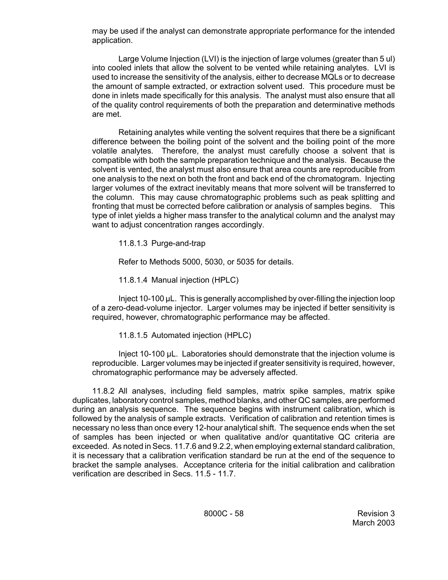may be used if the analyst can demonstrate appropriate performance for the intended application.

Large Volume Injection (LVI) is the injection of large volumes (greater than 5 ul) into cooled inlets that allow the solvent to be vented while retaining analytes. LVI is used to increase the sensitivity of the analysis, either to decrease MQLs or to decrease the amount of sample extracted, or extraction solvent used. This procedure must be done in inlets made specifically for this analysis. The analyst must also ensure that all of the quality control requirements of both the preparation and determinative methods are met.

Retaining analytes while venting the solvent requires that there be a significant difference between the boiling point of the solvent and the boiling point of the more volatile analytes. Therefore, the analyst must carefully choose a solvent that is compatible with both the sample preparation technique and the analysis. Because the solvent is vented, the analyst must also ensure that area counts are reproducible from one analysis to the next on both the front and back end of the chromatogram. Injecting larger volumes of the extract inevitably means that more solvent will be transferred to the column. This may cause chromatographic problems such as peak splitting and fronting that must be corrected before calibration or analysis of samples begins. This type of inlet yields a higher mass transfer to the analytical column and the analyst may want to adjust concentration ranges accordingly.

11.8.1.3 Purge-and-trap

Refer to Methods 5000, 5030, or 5035 for details.

11.8.1.4 Manual injection (HPLC)

Inject 10-100 µL. This is generally accomplished by over-filling the injection loop of a zero-dead-volume injector. Larger volumes may be injected if better sensitivity is required, however, chromatographic performance may be affected.

11.8.1.5 Automated injection (HPLC)

Inject 10-100 µL. Laboratories should demonstrate that the injection volume is reproducible. Larger volumes may be injected if greater sensitivity is required, however, chromatographic performance may be adversely affected.

11.8.2 All analyses, including field samples, matrix spike samples, matrix spike duplicates, laboratory control samples, method blanks, and other QC samples, are performed during an analysis sequence. The sequence begins with instrument calibration, which is followed by the analysis of sample extracts. Verification of calibration and retention times is necessary no less than once every 12-hour analytical shift. The sequence ends when the set of samples has been injected or when qualitative and/or quantitative QC criteria are exceeded. As noted in Secs. 11.7.6 and 9.2.2, when employing external standard calibration, it is necessary that a calibration verification standard be run at the end of the sequence to bracket the sample analyses. Acceptance criteria for the initial calibration and calibration verification are described in Secs. 11.5 - 11.7.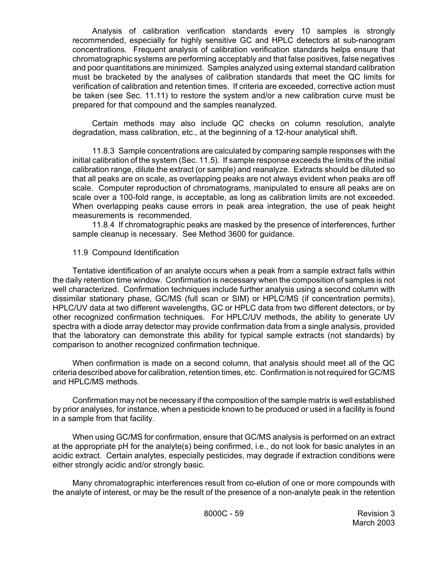Analysis of calibration verification standards every 10 samples is strongly recommended, especially for highly sensitive GC and HPLC detectors at sub-nanogram concentrations. Frequent analysis of calibration verification standards helps ensure that chromatographic systems are performing acceptably and that false positives, false negatives and poor quantitations are minimized. Samples analyzed using external standard calibration must be bracketed by the analyses of calibration standards that meet the QC limits for verification of calibration and retention times. If criteria are exceeded, corrective action must be taken (see Sec. 11.11) to restore the system and/or a new calibration curve must be prepared for that compound and the samples reanalyzed.

Certain methods may also include QC checks on column resolution, analyte degradation, mass calibration, etc., at the beginning of a 12-hour analytical shift.

11.8.3 Sample concentrations are calculated by comparing sample responses with the initial calibration of the system (Sec. 11.5). If sample response exceeds the limits of the initial calibration range, dilute the extract (or sample) and reanalyze. Extracts should be diluted so that all peaks are on scale, as overlapping peaks are not always evident when peaks are off scale. Computer reproduction of chromatograms, manipulated to ensure all peaks are on scale over a 100-fold range, is acceptable, as long as calibration limits are not exceeded. When overlapping peaks cause errors in peak area integration, the use of peak height measurements is recommended.

11.8.4 If chromatographic peaks are masked by the presence of interferences, further sample cleanup is necessary. See Method 3600 for guidance.

#### 11.9 Compound Identification

Tentative identification of an analyte occurs when a peak from a sample extract falls within the daily retention time window. Confirmation is necessary when the composition of samples is not well characterized. Confirmation techniques include further analysis using a second column with dissimilar stationary phase, GC/MS (full scan or SIM) or HPLC/MS (if concentration permits), HPLC/UV data at two different wavelengths, GC or HPLC data from two different detectors, or by other recognized confirmation techniques. For HPLC/UV methods, the ability to generate UV spectra with a diode array detector may provide confirmation data from a single analysis, provided that the laboratory can demonstrate this ability for typical sample extracts (not standards) by comparison to another recognized confirmation technique.

When confirmation is made on a second column, that analysis should meet all of the QC criteria described above for calibration, retention times, etc. Confirmation is not required for GC/MS and HPLC/MS methods.

Confirmation may not be necessary if the composition of the sample matrix is well established by prior analyses, for instance, when a pesticide known to be produced or used in a facility is found in a sample from that facility.

When using GC/MS for confirmation, ensure that GC/MS analysis is performed on an extract at the appropriate pH for the analyte(s) being confirmed, i.e., do not look for basic analytes in an acidic extract. Certain analytes, especially pesticides, may degrade if extraction conditions were either strongly acidic and/or strongly basic.

Many chromatographic interferences result from co-elution of one or more compounds with the analyte of interest, or may be the result of the presence of a non-analyte peak in the retention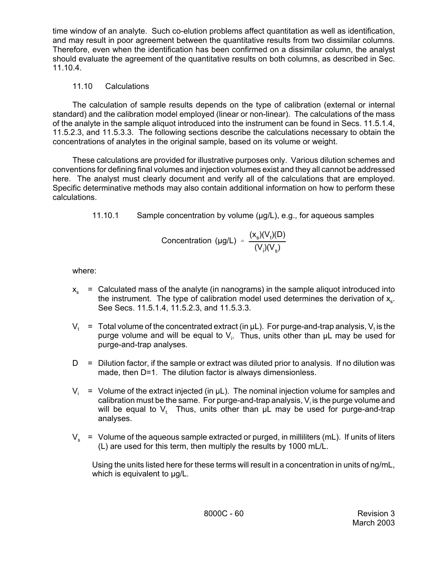time window of an analyte. Such co-elution problems affect quantitation as well as identification, and may result in poor agreement between the quantitative results from two dissimilar columns. Therefore, even when the identification has been confirmed on a dissimilar column, the analyst should evaluate the agreement of the quantitative results on both columns, as described in Sec. 11.10.4.

# 11.10 Calculations

The calculation of sample results depends on the type of calibration (external or internal standard) and the calibration model employed (linear or non-linear). The calculations of the mass of the analyte in the sample aliquot introduced into the instrument can be found in Secs. 11.5.1.4, 11.5.2.3, and 11.5.3.3. The following sections describe the calculations necessary to obtain the concentrations of analytes in the original sample, based on its volume or weight.

These calculations are provided for illustrative purposes only. Various dilution schemes and conventions for defining final volumes and injection volumes exist and they all cannot be addressed here. The analyst must clearly document and verify all of the calculations that are employed. Specific determinative methods may also contain additional information on how to perform these calculations.

11.10.1 Sample concentration by volume (µg/L), e.g., for aqueous samples

Concentration (µg/L) = 
$$
\frac{(x_s)(V_t)(D)}{(V_i)(V_s)}
$$

where:

- $x<sub>s</sub>$  = Calculated mass of the analyte (in nanograms) in the sample aliquot introduced into the instrument. The type of calibration model used determines the derivation of  $x_{s}$ . See Secs. 11.5.1.4, 11.5.2.3, and 11.5.3.3.
- $\mathsf{V}_\mathrm{t}$  = Total volume of the concentrated extract (in  $\mu$ L). For purge-and-trap analysis,  $\mathsf{V}_\mathrm{t}$  is the purge volume and will be equal to  $V_i$ . Thus, units other than  $\mu$ L may be used for purge-and-trap analyses.
- $D =$  Dilution factor, if the sample or extract was diluted prior to analysis. If no dilution was made, then D=1. The dilution factor is always dimensionless.
- $V_i$  = Volume of the extract injected (in  $\mu$ L). The nominal injection volume for samples and calibration must be the same. For purge-and-trap analysis,  $\mathsf{V}_{\mathsf{i}}$  is the purge volume and will be equal to  $V_1$ . Thus, units other than  $\mu$ L may be used for purge-and-trap analyses.
- $V_s$  = Volume of the aqueous sample extracted or purged, in milliliters (mL). If units of liters (L) are used for this term, then multiply the results by 1000 mL/L.

Using the units listed here for these terms will result in a concentration in units of ng/mL, which is equivalent to  $\mu$ g/L.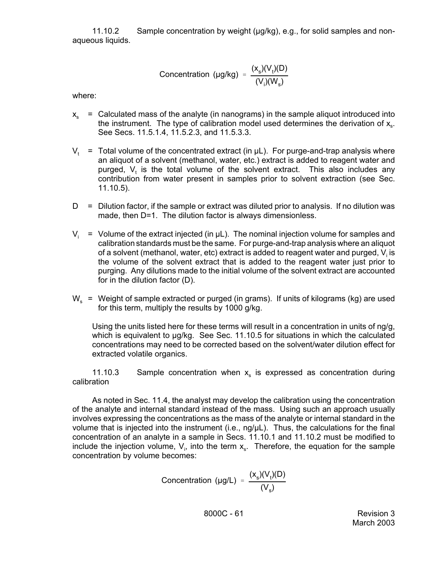11.10.2 Sample concentration by weight (µg/kg), e.g., for solid samples and nonaqueous liquids.

$$
Concentration (µg/kg) = \frac{(x_s)(V_t)(D)}{(V_i)(W_s)}
$$

where:

- $x<sub>s</sub>$  = Calculated mass of the analyte (in nanograms) in the sample aliquot introduced into the instrument. The type of calibration model used determines the derivation of  $x_{s}$ . See Secs. 11.5.1.4, 11.5.2.3, and 11.5.3.3.
- $V_1$  = Total volume of the concentrated extract (in  $\mu$ L). For purge-and-trap analysis where an aliquot of a solvent (methanol, water, etc.) extract is added to reagent water and purged,  $V_t$  is the total volume of the solvent extract. This also includes any contribution from water present in samples prior to solvent extraction (see Sec. 11.10.5).
- $D =$  Dilution factor, if the sample or extract was diluted prior to analysis. If no dilution was made, then D=1. The dilution factor is always dimensionless.
- $V_i$  = Volume of the extract injected (in  $\mu$ L). The nominal injection volume for samples and calibration standards must be the same. For purge-and-trap analysis where an aliquot of a solvent (methanol, water, etc) extract is added to reagent water and purged,  $\mathsf{V}_{\mathsf{i}}$  is the volume of the solvent extract that is added to the reagent water just prior to purging. Any dilutions made to the initial volume of the solvent extract are accounted for in the dilution factor (D).
- $W_s$  = Weight of sample extracted or purged (in grams). If units of kilograms (kg) are used for this term, multiply the results by 1000 g/kg.

Using the units listed here for these terms will result in a concentration in units of ng/g, which is equivalent to  $\mu q / kq$ . See Sec. 11.10.5 for situations in which the calculated concentrations may need to be corrected based on the solvent/water dilution effect for extracted volatile organics.

11.10.3 Sample concentration when  $x_s$  is expressed as concentration during calibration

As noted in Sec. 11.4, the analyst may develop the calibration using the concentration of the analyte and internal standard instead of the mass. Using such an approach usually involves expressing the concentrations as the mass of the analyte or internal standard in the volume that is injected into the instrument (i.e., ng/µL). Thus, the calculations for the final concentration of an analyte in a sample in Secs. 11.10.1 and 11.10.2 must be modified to include the injection volume,  $V_{i}$ , into the term  $x_{s}$ . Therefore, the equation for the sample concentration by volume becomes:

Concentration (µg/L) = 
$$
\frac{(x_s)(V_t)(D)}{(V_s)}
$$

8000C - 61 Revision 3 March 2003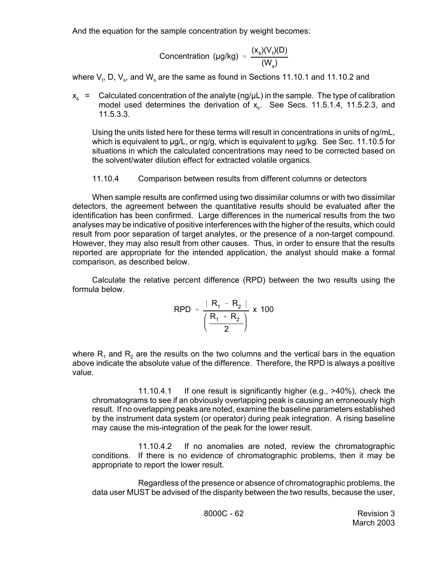And the equation for the sample concentration by weight becomes:

$$
Concentration (µg/kg) = \frac{(x_s)(V_t)(D)}{(W_s)}
$$

where  $\mathsf{V}_\mathsf{t},$  D,  $\mathsf{V}_\mathsf{s},$  and  $\mathsf{W}_\mathsf{s}$  are the same as found in Sections 11.10.1 and 11.10.2 and

 $x_s$  = Calculated concentration of the analyte (ng/ $\mu$ L) in the sample. The type of calibration model used determines the derivation of  $x<sub>s</sub>$ . See Secs. 11.5.1.4, 11.5.2.3, and 11.5.3.3.

Using the units listed here for these terms will result in concentrations in units of ng/mL, which is equivalent to  $\mu q/L$ , or ng/g, which is equivalent to  $\mu q/kq$ . See Sec. 11.10.5 for situations in which the calculated concentrations may need to be corrected based on the solvent/water dilution effect for extracted volatile organics.

# 11.10.4 Comparison between results from different columns or detectors

When sample results are confirmed using two dissimilar columns or with two dissimilar detectors, the agreement between the quantitative results should be evaluated after the identification has been confirmed. Large differences in the numerical results from the two analyses may be indicative of positive interferences with the higher of the results, which could result from poor separation of target analytes, or the presence of a non-target compound. However, they may also result from other causes. Thus, in order to ensure that the results reported are appropriate for the intended application, the analyst should make a formal comparison, as described below.

Calculate the relative percent difference (RPD) between the two results using the formula below.

$$
RPD = \frac{|R_1 - R_2|}{\left(\frac{R_1 + R_2}{2}\right)} \times 100
$$

where  $R_1$  and  $R_2$  are the results on the two columns and the vertical bars in the equation above indicate the absolute value of the difference. Therefore, the RPD is always a positive value.

11.10.4.1 If one result is significantly higher (e.g., >40%), check the chromatograms to see if an obviously overlapping peak is causing an erroneously high result. If no overlapping peaks are noted, examine the baseline parameters established by the instrument data system (or operator) during peak integration. A rising baseline may cause the mis-integration of the peak for the lower result.

11.10.4.2 If no anomalies are noted, review the chromatographic conditions. If there is no evidence of chromatographic problems, then it may be appropriate to report the lower result.

Regardless of the presence or absence of chromatographic problems, the data user MUST be advised of the disparity between the two results, because the user,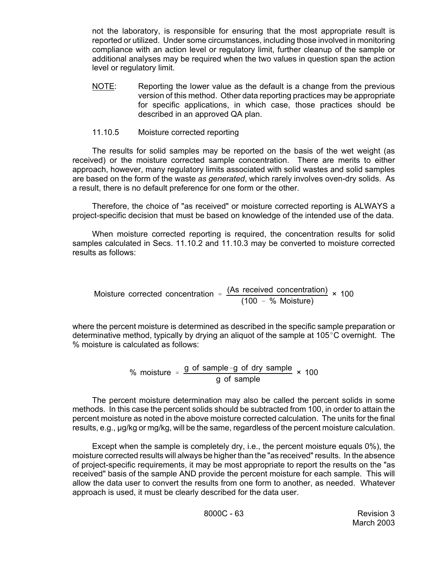not the laboratory, is responsible for ensuring that the most appropriate result is reported or utilized. Under some circumstances, including those involved in monitoring compliance with an action level or regulatory limit, further cleanup of the sample or additional analyses may be required when the two values in question span the action level or regulatory limit.

NOTE: Reporting the lower value as the default is a change from the previous version of this method. Other data reporting practices may be appropriate for specific applications, in which case, those practices should be described in an approved QA plan.

## 11.10.5 Moisture corrected reporting

The results for solid samples may be reported on the basis of the wet weight (as received) or the moisture corrected sample concentration. There are merits to either approach, however, many regulatory limits associated with solid wastes and solid samples are based on the form of the waste *as generated*, which rarely involves oven-dry solids. As a result, there is no default preference for one form or the other.

Therefore, the choice of "as received" or moisture corrected reporting is ALWAYS a project-specific decision that must be based on knowledge of the intended use of the data.

When moisture corrected reporting is required, the concentration results for solid samples calculated in Secs. 11.10.2 and 11.10.3 may be converted to moisture corrected results as follows:

Moisture corrected concentration = 
$$
\frac{(As received concentration)}{(100 - % Moisture)} \times 100
$$

where the percent moisture is determined as described in the specific sample preparation or determinative method, typically by drying an aliquot of the sample at 105 $\degree$ C overnight. The % moisture is calculated as follows:

% moisture = 
$$
\frac{g \text{ of sample} - g \text{ of dry sample}}{g \text{ of sample}}
$$
 × 100

The percent moisture determination may also be called the percent solids in some methods. In this case the percent solids should be subtracted from 100, in order to attain the percent moisture as noted in the above moisture corrected calculation. The units for the final results, e.g., µg/kg or mg/kg, will be the same, regardless of the percent moisture calculation.

Except when the sample is completely dry, i.e., the percent moisture equals 0%), the moisture corrected results will always be higher than the "as received" results. In the absence of project-specific requirements, it may be most appropriate to report the results on the "as received" basis of the sample AND provide the percent moisture for each sample. This will allow the data user to convert the results from one form to another, as needed. Whatever approach is used, it must be clearly described for the data user.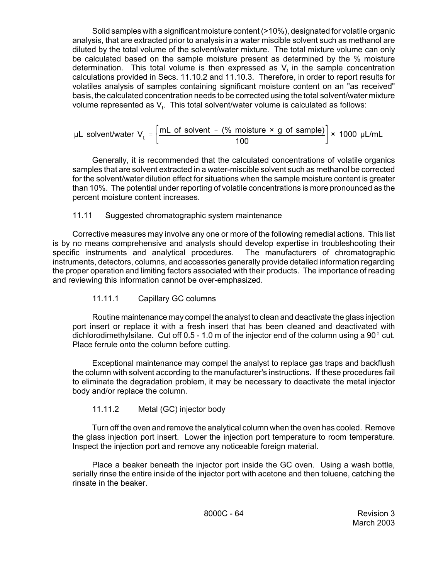Solid samples with a significant moisture content (>10%), designated for volatile organic analysis, that are extracted prior to analysis in a water miscible solvent such as methanol are diluted by the total volume of the solvent/water mixture. The total mixture volume can only be calculated based on the sample moisture present as determined by the % moisture determination. This total volume is then expressed as  $V_t$  in the sample concentration calculations provided in Secs. 11.10.2 and 11.10.3. Therefore, in order to report results for volatiles analysis of samples containing significant moisture content on an "as received" basis, the calculated concentration needs to be corrected using the total solvent/water mixture volume represented as  $\mathsf{V}_{\mathsf{t}}$ . This total solvent/water volume is calculated as follows:

$$
\mu L \text{ solvent/water } V_t = \left[\frac{mL \text{ of solvent } + (% \text{ moisture } \times \text{ g of sample})}{100}\right] \times 1000 \text{ }\mu L/mL
$$

 Generally, it is recommended that the calculated concentrations of volatile organics samples that are solvent extracted in a water-miscible solvent such as methanol be corrected for the solvent/water dilution effect for situations when the sample moisture content is greater than 10%. The potential under reporting of volatile concentrations is more pronounced as the percent moisture content increases.

# 11.11 Suggested chromatographic system maintenance

Corrective measures may involve any one or more of the following remedial actions. This list is by no means comprehensive and analysts should develop expertise in troubleshooting their specific instruments and analytical procedures. The manufacturers of chromatographic instruments, detectors, columns, and accessories generally provide detailed information regarding the proper operation and limiting factors associated with their products. The importance of reading and reviewing this information cannot be over-emphasized.

# 11.11.1 Capillary GC columns

Routine maintenance may compel the analyst to clean and deactivate the glass injection port insert or replace it with a fresh insert that has been cleaned and deactivated with dichlorodimethylsilane. Cut off  $0.5 - 1.0$  m of the injector end of the column using a 90 $^{\circ}$  cut. Place ferrule onto the column before cutting.

Exceptional maintenance may compel the analyst to replace gas traps and backflush the column with solvent according to the manufacturer's instructions. If these procedures fail to eliminate the degradation problem, it may be necessary to deactivate the metal injector body and/or replace the column.

# 11.11.2 Metal (GC) injector body

Turn off the oven and remove the analytical column when the oven has cooled. Remove the glass injection port insert. Lower the injection port temperature to room temperature. Inspect the injection port and remove any noticeable foreign material.

Place a beaker beneath the injector port inside the GC oven. Using a wash bottle, serially rinse the entire inside of the injector port with acetone and then toluene, catching the rinsate in the beaker.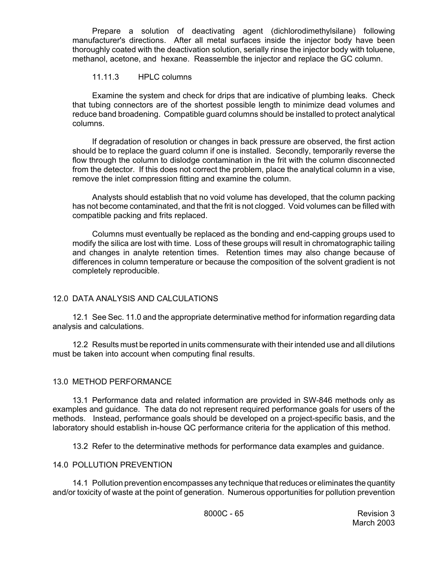Prepare a solution of deactivating agent (dichlorodimethylsilane) following manufacturer's directions. After all metal surfaces inside the injector body have been thoroughly coated with the deactivation solution, serially rinse the injector body with toluene, methanol, acetone, and hexane. Reassemble the injector and replace the GC column.

## 11.11.3 HPLC columns

Examine the system and check for drips that are indicative of plumbing leaks. Check that tubing connectors are of the shortest possible length to minimize dead volumes and reduce band broadening. Compatible guard columns should be installed to protect analytical columns.

If degradation of resolution or changes in back pressure are observed, the first action should be to replace the guard column if one is installed. Secondly, temporarily reverse the flow through the column to dislodge contamination in the frit with the column disconnected from the detector. If this does not correct the problem, place the analytical column in a vise, remove the inlet compression fitting and examine the column.

Analysts should establish that no void volume has developed, that the column packing has not become contaminated, and that the frit is not clogged. Void volumes can be filled with compatible packing and frits replaced.

Columns must eventually be replaced as the bonding and end-capping groups used to modify the silica are lost with time. Loss of these groups will result in chromatographic tailing and changes in analyte retention times. Retention times may also change because of differences in column temperature or because the composition of the solvent gradient is not completely reproducible.

# 12.0 DATA ANALYSIS AND CALCULATIONS

12.1 See Sec. 11.0 and the appropriate determinative method for information regarding data analysis and calculations.

12.2 Results must be reported in units commensurate with their intended use and all dilutions must be taken into account when computing final results.

## 13.0 METHOD PERFORMANCE

13.1 Performance data and related information are provided in SW-846 methods only as examples and guidance. The data do not represent required performance goals for users of the methods. Instead, performance goals should be developed on a project-specific basis, and the laboratory should establish in-house QC performance criteria for the application of this method.

13.2 Refer to the determinative methods for performance data examples and guidance.

## 14.0 POLLUTION PREVENTION

14.1 Pollution prevention encompasses any technique that reduces or eliminates the quantity and/or toxicity of waste at the point of generation. Numerous opportunities for pollution prevention

8000C - 65 Revision 3 March 2003